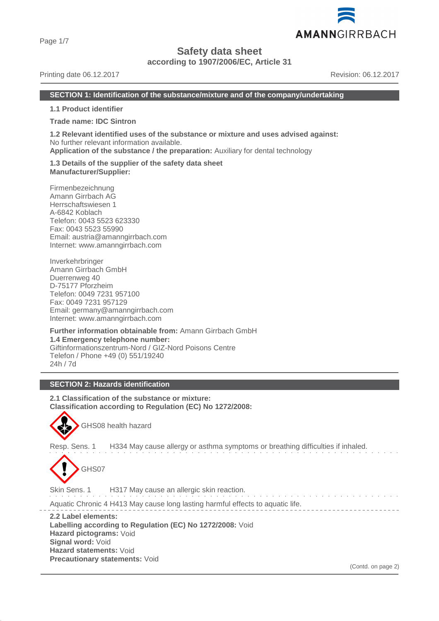Page 1/7

# **Safety data sheet**

**according to 1907/2006/EC, Article 31**

Printing date 06.12.2017 Revision: 06.12.2017

AMANNGIRRBACH

#### **SECTION 1: Identification of the substance/mixture and of the company/undertaking**

**1.1 Product identifier**

**Trade name: IDC Sintron**

**1.2 Relevant identified uses of the substance or mixture and uses advised against:** No further relevant information available.

**Application of the substance / the preparation:** Auxiliary for dental technology

**1.3 Details of the supplier of the safety data sheet Manufacturer/Supplier:**

Firmenbezeichnung Amann Girrbach AG Herrschaftswiesen 1 A-6842 Koblach Telefon: 0043 5523 623330 Fax: 0043 5523 55990 Email: austria@amanngirrbach.com Internet: www.amanngirrbach.com

Inverkehrbringer Amann Girrbach GmbH Duerrenweg 40 D-75177 Pforzheim Telefon: 0049 7231 957100 Fax: 0049 7231 957129 Email: germany@amanngirrbach.com Internet: www.amanngirrbach.com

**Further information obtainable from:** Amann Girrbach GmbH **1.4 Emergency telephone number:** Giftinformationszentrum-Nord / GIZ-Nord Poisons Centre Telefon / Phone +49 (0) 551/19240 24h / 7d

## **SECTION 2: Hazards identification**

**2.1 Classification of the substance or mixture: Classification according to Regulation (EC) No 1272/2008:**



GHS08 health hazard

Resp. Sens. 1 H334 May cause allergy or asthma symptoms or breathing difficulties if inhaled.



Skin Sens. 1 H317 May cause an allergic skin reaction. and the state of the state Aquatic Chronic 4 H413 May cause long lasting harmful effects to aquatic life. **2.2 Label elements:**

**Labelling according to Regulation (EC) No 1272/2008:** Void **Hazard pictograms:** Void **Signal word:** Void **Hazard statements:** Void **Precautionary statements:** Void

(Contd. on page 2)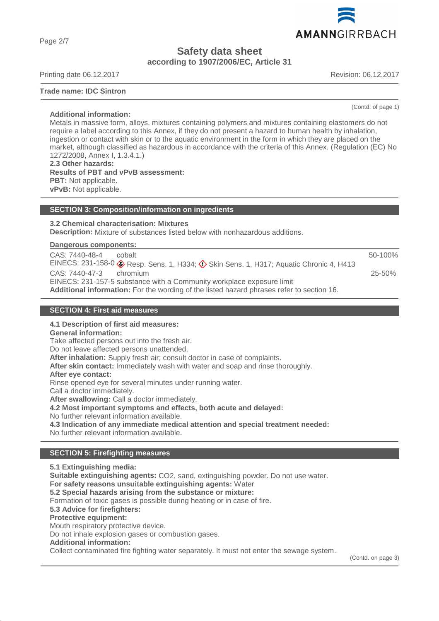Page 2/7

# **Safety data sheet according to 1907/2006/EC, Article 31**

Printing date 06.12.2017 Revision: 06.12.2017

#### **Trade name: IDC Sintron**

(Contd. of page 1)

**Additional information:** Metals in massive form, alloys, mixtures containing polymers and mixtures containing elastomers do not require a label according to this Annex, if they do not present a hazard to human health by inhalation, ingestion or contact with skin or to the aquatic environment in the form in which they are placed on the market, although classified as hazardous in accordance with the criteria of this Annex. (Regulation (EC) No 1272/2008, Annex I, 1.3.4.1.) **2.3 Other hazards:**

**Results of PBT and vPvB assessment: PBT:** Not applicable. **vPvB:** Not applicable.

#### **SECTION 3: Composition/information on ingredients**

#### **3.2 Chemical characterisation: Mixtures**

**Description:** Mixture of substances listed below with nonhazardous additions.

**Dangerous components:** 

| CAS: 7440-48-4                                                                            | cobalt                                                                                                           | 50-100%    |
|-------------------------------------------------------------------------------------------|------------------------------------------------------------------------------------------------------------------|------------|
|                                                                                           | EINECS: 231-158-0 $\diamondsuit$ Resp. Sens. 1, H334; $\diamondsuit$ Skin Sens. 1, H317; Aquatic Chronic 4, H413 |            |
| $CAS: 7440-47-3$ chromium                                                                 |                                                                                                                  | $25 - 50%$ |
|                                                                                           | EINECS: 231-157-5 substance with a Community workplace exposure limit                                            |            |
| Additional information: For the wording of the listed hazard phrases refer to section 16. |                                                                                                                  |            |

#### **SECTION 4: First aid measures**

#### **4.1 Description of first aid measures:**

**General information:**

Take affected persons out into the fresh air.

Do not leave affected persons unattended.

**After inhalation:** Supply fresh air; consult doctor in case of complaints.

**After skin contact:** Immediately wash with water and soap and rinse thoroughly.

**After eye contact:**

Rinse opened eye for several minutes under running water.

Call a doctor immediately.

**After swallowing:** Call a doctor immediately.

**4.2 Most important symptoms and effects, both acute and delayed:**

No further relevant information available.

**4.3 Indication of any immediate medical attention and special treatment needed:**

No further relevant information available.

#### **SECTION 5: Firefighting measures**

**5.1 Extinguishing media: Suitable extinguishing agents:** CO2, sand, extinguishing powder. Do not use water. **For safety reasons unsuitable extinguishing agents:** Water **5.2 Special hazards arising from the substance or mixture:** Formation of toxic gases is possible during heating or in case of fire. **5.3 Advice for firefighters: Protective equipment:** Mouth respiratory protective device. Do not inhale explosion gases or combustion gases. **Additional information:** Collect contaminated fire fighting water separately. It must not enter the sewage system.

(Contd. on page 3)

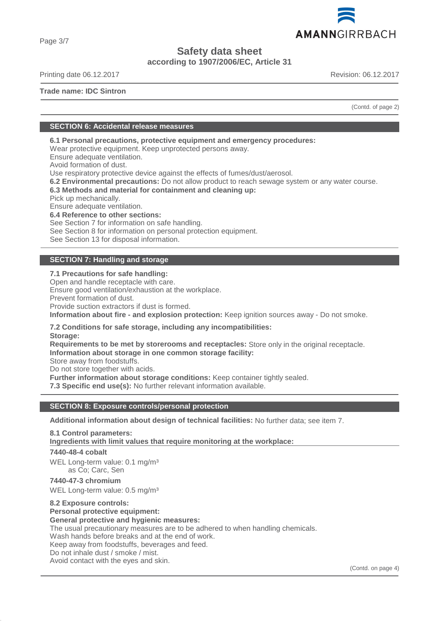

Page 3/7

# **Safety data sheet**

**according to 1907/2006/EC, Article 31**

Printing date 06.12.2017 Revision: 06.12.2017

**Trade name: IDC Sintron**

(Contd. of page 2)

## **SECTION 6: Accidental release measures**

**6.1 Personal precautions, protective equipment and emergency procedures:**

Wear protective equipment. Keep unprotected persons away.

Ensure adequate ventilation.

Avoid formation of dust.

Use respiratory protective device against the effects of fumes/dust/aerosol.

**6.2 Environmental precautions:** Do not allow product to reach sewage system or any water course.

## **6.3 Methods and material for containment and cleaning up:**

Pick up mechanically.

Ensure adequate ventilation.

**6.4 Reference to other sections:**

See Section 7 for information on safe handling.

See Section 8 for information on personal protection equipment.

See Section 13 for disposal information.

# **SECTION 7: Handling and storage**

# **7.1 Precautions for safe handling:**

Open and handle receptacle with care. Ensure good ventilation/exhaustion at the workplace. Prevent formation of dust. Provide suction extractors if dust is formed. **Information about fire - and explosion protection:** Keep ignition sources away - Do not smoke.

**7.2 Conditions for safe storage, including any incompatibilities: Storage:**

**Requirements to be met by storerooms and receptacles:** Store only in the original receptacle. **Information about storage in one common storage facility:**

Store away from foodstuffs.

Do not store together with acids.

**Further information about storage conditions:** Keep container tightly sealed.

**7.3 Specific end use(s):** No further relevant information available.

## **SECTION 8: Exposure controls/personal protection**

**Additional information about design of technical facilities:** No further data; see item 7.

**8.1 Control parameters:**

**Ingredients with limit values that require monitoring at the workplace:** 

**7440-48-4 cobalt**

WEL Long-term value: 0.1 mg/m<sup>3</sup> as Co; Carc, Sen

**7440-47-3 chromium** WEL Long-term value: 0.5 mg/m<sup>3</sup>

# **8.2 Exposure controls:**

**Personal protective equipment:**

**General protective and hygienic measures:** The usual precautionary measures are to be adhered to when handling chemicals. Wash hands before breaks and at the end of work. Keep away from foodstuffs, beverages and feed.

# Do not inhale dust / smoke / mist.

Avoid contact with the eyes and skin.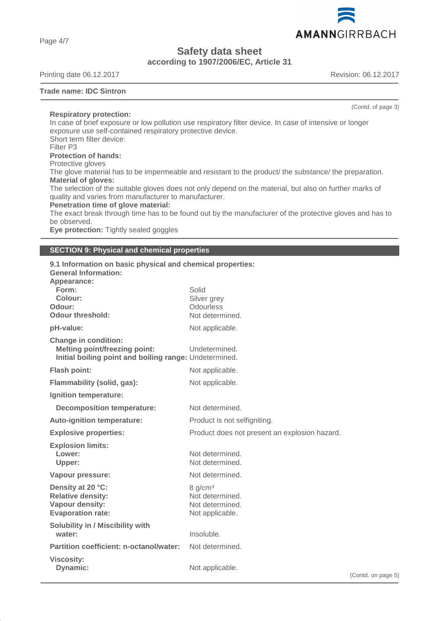Page 4/7

**Safety data sheet**

**according to 1907/2006/EC, Article 31**

Printing date 06.12.2017 **Revision: 06.12.2017** 

#### **Trade name: IDC Sintron**

**Respiratory protection:**

In case of brief exposure or low pollution use respiratory filter device. In case of intensive or longer exposure use self-contained respiratory protective device. Short term filter device: Filter P3 **Protection of hands:** Protective gloves The glove material has to be impermeable and resistant to the product/ the substance/ the preparation. **Material of gloves:** The selection of the suitable gloves does not only depend on the material, but also on further marks of quality and varies from manufacturer to manufacturer. **Penetration time of glove material:** The exact break through time has to be found out by the manufacturer of the protective gloves and has to be observed. **Eye protection:** Tightly sealed goggles

#### **SECTION 9: Physical and chemical properties**

| 9.1 Information on basic physical and chemical properties:<br><b>General Information:</b><br>Appearance:                      |                                                                              |   |
|-------------------------------------------------------------------------------------------------------------------------------|------------------------------------------------------------------------------|---|
| Form:<br>Colour:<br>Odour:<br><b>Odour threshold:</b>                                                                         | Solid<br>Silver grey<br><b>Odourless</b><br>Not determined.                  |   |
| pH-value:                                                                                                                     | Not applicable.                                                              |   |
| <b>Change in condition:</b><br><b>Melting point/freezing point:</b><br>Initial boiling point and boiling range: Undetermined. | Undetermined.                                                                |   |
| Flash point:                                                                                                                  | Not applicable.                                                              |   |
| Flammability (solid, gas):                                                                                                    | Not applicable.                                                              |   |
| Ignition temperature:                                                                                                         |                                                                              |   |
| <b>Decomposition temperature:</b>                                                                                             | Not determined.                                                              |   |
| Auto-ignition temperature:                                                                                                    | Product is not selfigniting.                                                 |   |
| <b>Explosive properties:</b>                                                                                                  | Product does not present an explosion hazard.                                |   |
| <b>Explosion limits:</b><br>Lower:<br>Upper:                                                                                  | Not determined.<br>Not determined.                                           |   |
| Vapour pressure:                                                                                                              | Not determined.                                                              |   |
| Density at 20 °C:<br><b>Relative density:</b><br>Vapour density:<br><b>Evaporation rate:</b>                                  | 8 g/cm <sup>3</sup><br>Not determined.<br>Not determined.<br>Not applicable. |   |
| Solubility in / Miscibility with<br>water:                                                                                    | Insoluble.                                                                   |   |
| <b>Partition coefficient: n-octanol/water:</b>                                                                                | Not determined.                                                              |   |
| <b>Viscosity:</b><br><b>Dynamic:</b>                                                                                          | Not applicable.                                                              | ( |



(Contd. of page 3)

(Contd. on page 5)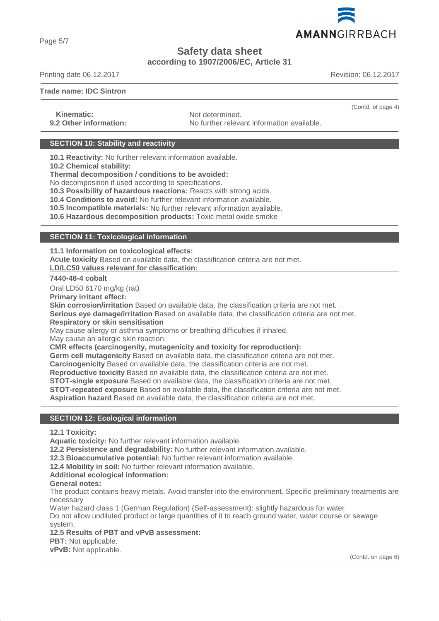AMANNGIRRBACH

# **Safety data sheet**

# **according to 1907/2006/EC, Article 31**

Printing date 06.12.2017 Revision: 06.12.2017

#### **Trade name: IDC Sintron**

**Kinematic:** Not determined.

**9.2 Other information:** No further relevant information available.

# **SECTION 10: Stability and reactivity**

**10.1 Reactivity:** No further relevant information available.

**10.2 Chemical stability:**

**Thermal decomposition / conditions to be avoided:**

No decomposition if used according to specifications.

**10.3 Possibility of hazardous reactions:** Reacts with strong acids.

**10.4 Conditions to avoid:** No further relevant information available.

**10.5 Incompatible materials:** No further relevant information available.

**10.6 Hazardous decomposition products:** Toxic metal oxide smoke

## **SECTION 11: Toxicological information**

**11.1 Information on toxicological effects:**

**Acute toxicity** Based on available data, the classification criteria are not met. **LD/LC50 values relevant for classification:** 

**7440-48-4 cobalt**

Oral LD50 6170 mg/kg (rat)

**Primary irritant effect:**

**Skin corrosion/irritation** Based on available data, the classification criteria are not met.

**Serious eye damage/irritation** Based on available data, the classification criteria are not met. **Respiratory or skin sensitisation**

May cause allergy or asthma symptoms or breathing difficulties if inhaled.

May cause an allergic skin reaction.

**CMR effects (carcinogenity, mutagenicity and toxicity for reproduction):**

**Germ cell mutagenicity** Based on available data, the classification criteria are not met.

**Carcinogenicity** Based on available data, the classification criteria are not met.

**Reproductive toxicity** Based on available data, the classification criteria are not met.

**STOT-single exposure** Based on available data, the classification criteria are not met.

**STOT-repeated exposure** Based on available data, the classification criteria are not met.

**Aspiration hazard** Based on available data, the classification criteria are not met.

## **SECTION 12: Ecological information**

**12.1 Toxicity:**

**Aquatic toxicity:** No further relevant information available.

**12.2 Persistence and degradability:** No further relevant information available.

**12.3 Bioaccumulative potential:** No further relevant information available.

**12.4 Mobility in soil:** No further relevant information available.

**Additional ecological information:**

#### **General notes:**

The product contains heavy metals. Avoid transfer into the environment. Specific preliminary treatments are necessary

Water hazard class 1 (German Regulation) (Self-assessment): slightly hazardous for water Do not allow undiluted product or large quantities of it to reach ground water, water course or sewage system.

**12.5 Results of PBT and vPvB assessment:**

**PBT:** Not applicable.

**vPvB:** Not applicable.



(Contd. of page 4)

Page 5/7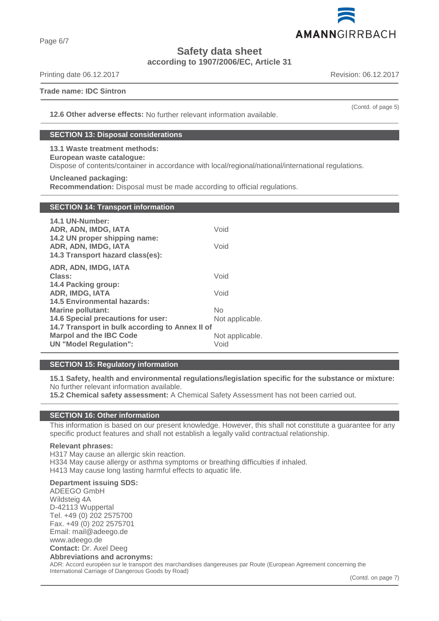

**Safety data sheet**

**according to 1907/2006/EC, Article 31**

Printing date 06.12.2017 **Revision: 06.12.2017** 

Page 6/7

#### **Trade name: IDC Sintron**

(Contd. of page 5)

**12.6 Other adverse effects:** No further relevant information available.

# **SECTION 13: Disposal considerations**

**13.1 Waste treatment methods: European waste catalogue:** Dispose of contents/container in accordance with local/regional/national/international regulations.

**Uncleaned packaging: Recommendation:** Disposal must be made according to official regulations.

# **SECTION 14: Transport information**

| 14.1 UN-Number:<br>ADR, ADN, IMDG, IATA<br>14.2 UN proper shipping name: | Void            |
|--------------------------------------------------------------------------|-----------------|
| ADR, ADN, IMDG, IATA<br>14.3 Transport hazard class(es):                 | Void            |
| ADR, ADN, IMDG, IATA                                                     |                 |
| Class:                                                                   | Void            |
| 14.4 Packing group:                                                      |                 |
| ADR, IMDG, IATA                                                          | Void            |
| <b>14.5 Environmental hazards:</b>                                       |                 |
| <b>Marine pollutant:</b>                                                 | No              |
| 14.6 Special precautions for user:                                       | Not applicable. |
| 14.7 Transport in bulk according to Annex II of                          |                 |
| <b>Marpol and the IBC Code</b>                                           | Not applicable. |
| <b>UN</b> "Model Regulation":                                            | Void            |

#### **SECTION 15: Regulatory information**

**15.1 Safety, health and environmental regulations/legislation specific for the substance or mixture:** No further relevant information available.

**15.2 Chemical safety assessment:** A Chemical Safety Assessment has not been carried out.

#### **SECTION 16: Other information**

This information is based on our present knowledge. However, this shall not constitute a guarantee for any specific product features and shall not establish a legally valid contractual relationship.

#### **Relevant phrases:**

H317 May cause an allergic skin reaction. H334 May cause allergy or asthma symptoms or breathing difficulties if inhaled. H413 May cause long lasting harmful effects to aquatic life.

## **Department issuing SDS:**

ADEEGO GmbH Wildsteig 4A D-42113 Wuppertal Tel. +49 (0) 202 2575700 Fax. +49 (0) 202 2575701 Email: mail@adeego.de www.adeego.de **Contact:** Dr. Axel Deeg **Abbreviations and acronyms:**

ADR: Accord européen sur le transport des marchandises dangereuses par Route (European Agreement concerning the International Carriage of Dangerous Goods by Road)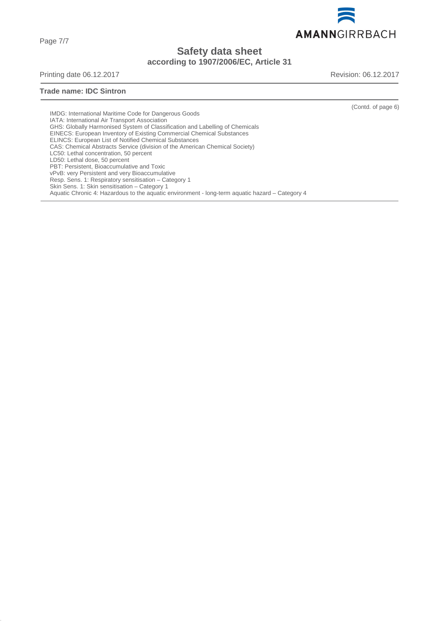AMANNGIRRBACH

**Safety data sheet**

**according to 1907/2006/EC, Article 31**

Printing date 06.12.2017 **Revision: 06.12.2017** 

### **Trade name: IDC Sintron**

(Contd. of page 6)

IMDG: International Maritime Code for Dangerous Goods IATA: International Air Transport Association GHS: Globally Harmonised System of Classification and Labelling of Chemicals EINECS: European Inventory of Existing Commercial Chemical Substances ELINCS: European List of Notified Chemical Substances CAS: Chemical Abstracts Service (division of the American Chemical Society) LC50: Lethal concentration, 50 percent LD50: Lethal dose, 50 percent PBT: Persistent, Bioaccumulative and Toxic vPvB: very Persistent and very Bioaccumulative Resp. Sens. 1: Respiratory sensitisation – Category 1 Skin Sens. 1: Skin sensitisation – Category 1 Aquatic Chronic 4: Hazardous to the aquatic environment - long-term aquatic hazard – Category 4

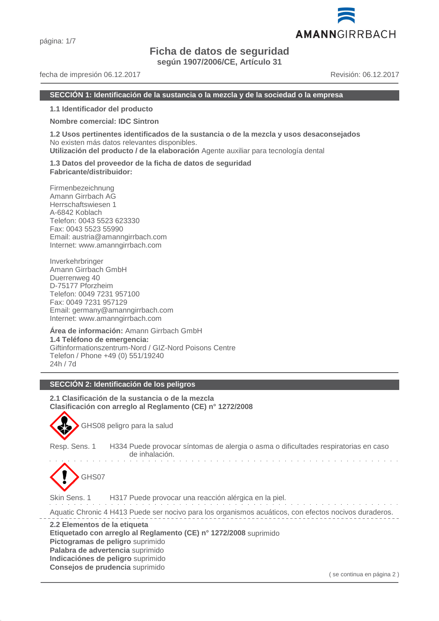# **Ficha de datos de seguridad**

**según 1907/2006/CE, Artículo 31**

#### fecha de impresión 06.12.2017 Revisión: 06.12.2017

AMANNGIRRBACH

#### **SECCIÓN 1: Identificación de la sustancia o la mezcla y de la sociedad o la empresa**

**1.1 Identificador del producto**

#### **Nombre comercial: IDC Sintron**

**1.2 Usos pertinentes identificados de la sustancia o de la mezcla y usos desaconsejados** No existen más datos relevantes disponibles.

**Utilización del producto / de la elaboración** Agente auxiliar para tecnología dental

**1.3 Datos del proveedor de la ficha de datos de seguridad Fabricante/distribuidor:**

Firmenbezeichnung Amann Girrbach AG Herrschaftswiesen 1 A-6842 Koblach Telefon: 0043 5523 623330 Fax: 0043 5523 55990 Email: austria@amanngirrbach.com Internet: www.amanngirrbach.com

Inverkehrbringer Amann Girrbach GmbH Duerrenweg 40 D-75177 Pforzheim Telefon: 0049 7231 957100 Fax: 0049 7231 957129 Email: germany@amanngirrbach.com Internet: www.amanngirrbach.com

**Área de información:** Amann Girrbach GmbH **1.4 Teléfono de emergencia:** Giftinformationszentrum-Nord / GIZ-Nord Poisons Centre Telefon / Phone +49 (0) 551/19240 24h / 7d

#### **SECCIÓN 2: Identificación de los peligros**

**2.1 Clasificación de la sustancia o de la mezcla Clasificación con arreglo al Reglamento (CE) n° 1272/2008**



GHS08 peligro para la salud

Resp. Sens. 1 H334 Puede provocar síntomas de alergia o asma o dificultades respiratorias en caso de inhalación.



Skin Sens. 1 H317 Puede provocar una reacción alérgica en la piel.

Aquatic Chronic 4 H413 Puede ser nocivo para los organismos acuáticos, con efectos nocivos duraderos.

**2.2 Elementos de la etiqueta Etiquetado con arreglo al Reglamento (CE) n° 1272/2008** suprimido **Pictogramas de peligro** suprimido **Palabra de advertencia** suprimido **Indicaciónes de peligro** suprimido **Consejos de prudencia** suprimido

( se continua en página 2 )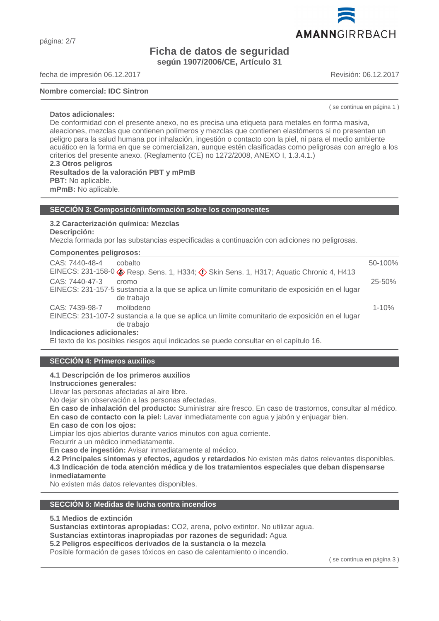# **Ficha de datos de seguridad según 1907/2006/CE, Artículo 31**

fecha de impresión 06.12.2017 Revisión: 06.12.2017

#### **Nombre comercial: IDC Sintron**

( se continua en página 1 )

De conformidad con el presente anexo, no es precisa una etiqueta para metales en forma masiva, aleaciones, mezclas que contienen polímeros y mezclas que contienen elastómeros si no presentan un peligro para la salud humana por inhalación, ingestión o contacto con la piel, ni para el medio ambiente acuático en la forma en que se comercializan, aunque estén clasificadas como peligrosas con arreglo a los criterios del presente anexo. (Reglamento (CE) no 1272/2008, ANEXO I, 1.3.4.1.) **2.3 Otros peligros Resultados de la valoración PBT y mPmB PBT:** No aplicable. **mPmB:** No aplicable.

#### **SECCIÓN 3: Composición/información sobre los componentes**

#### **3.2 Caracterización química: Mezclas Descripción:**

Mezcla formada por las substancias especificadas a continuación con adiciones no peligrosas.

|  | <b>Componentes peligrosos:</b> |  |
|--|--------------------------------|--|
|--|--------------------------------|--|

| CAS: 7440-48-4<br>cobalto                                                                                                   | 50-100%    |
|-----------------------------------------------------------------------------------------------------------------------------|------------|
| EINECS: 231-158-0 & Resp. Sens. 1, H334; $\Diamond$ Skin Sens. 1, H317; Aquatic Chronic 4, H413                             |            |
| CAS: 7440-47-3<br>cromo                                                                                                     | $25 - 50%$ |
| EINECS: 231-157-5 sustancia a la que se aplica un límite comunitario de exposición en el lugar<br>de trabajo                |            |
| CAS: 7439-98-7<br>molibdeno                                                                                                 | $1 - 10%$  |
| EINECS: 231-107-2 sustancia a la que se aplica un límite comunitario de exposición en el lugar<br>de trabajo                |            |
| Indicaciones adicionales:                                                                                                   |            |
| $\Box$ in the second second second second in the second second second second second second second second $\Lambda$ $\Delta$ |            |

El texto de los posibles riesgos aquí indicados se puede consultar en el capítulo 16.

#### **SECCIÓN 4: Primeros auxilios**

**4.1 Descripción de los primeros auxilios**

**Instrucciones generales:**

Llevar las personas afectadas al aire libre.

No dejar sin observación a las personas afectadas.

**En caso de inhalación del producto:** Suministrar aire fresco. En caso de trastornos, consultar al médico. **En caso de contacto con la piel:** Lavar inmediatamente con agua y jabón y enjuagar bien.

**En caso de con los ojos:**

Limpiar los ojos abiertos durante varios minutos con agua corriente.

Recurrir a un médico inmediatamente.

**En caso de ingestión:** Avisar inmediatamente al médico.

**4.2 Principales síntomas y efectos, agudos y retardados** No existen más datos relevantes disponibles. **4.3 Indicación de toda atención médica y de los tratamientos especiales que deban dispensarse inmediatamente**

No existen más datos relevantes disponibles.

#### **SECCIÓN 5: Medidas de lucha contra incendios**

**5.1 Medios de extinción**

**Sustancias extintoras apropiadas:** CO2, arena, polvo extintor. No utilizar agua.

**Sustancias extintoras inapropiadas por razones de seguridad:** Agua

**5.2 Peligros específicos derivados de la sustancia o la mezcla**

Posible formación de gases tóxicos en caso de calentamiento o incendio.

( se continua en página 3 )



**Datos adicionales:**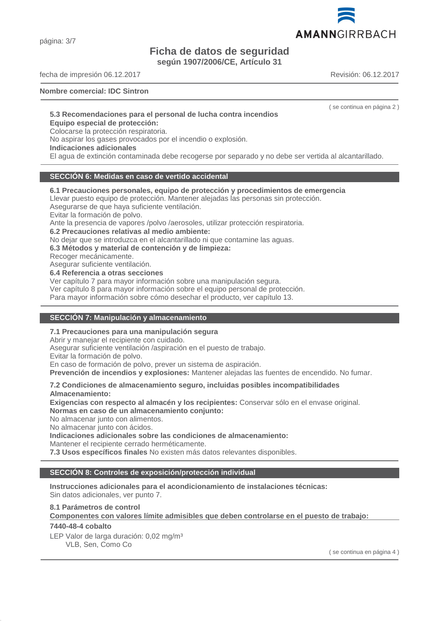página: 3/7

# **Ficha de datos de seguridad**

**según 1907/2006/CE, Artículo 31**

fecha de impresión 06.12.2017 Revisión: 06.12.2017

#### **Nombre comercial: IDC Sintron**

( se continua en página 2 )

## **5.3 Recomendaciones para el personal de lucha contra incendios**

# **Equipo especial de protección:**

Colocarse la protección respiratoria.

No aspirar los gases provocados por el incendio o explosión.

#### **Indicaciones adicionales**

El agua de extinción contaminada debe recogerse por separado y no debe ser vertida al alcantarillado.

#### **SECCIÓN 6: Medidas en caso de vertido accidental**

### **6.1 Precauciones personales, equipo de protección y procedimientos de emergencia**

Llevar puesto equipo de protección. Mantener alejadas las personas sin protección.

Asegurarse de que haya suficiente ventilación.

Evitar la formación de polvo.

Ante la presencia de vapores /polvo /aerosoles, utilizar protección respiratoria.

**6.2 Precauciones relativas al medio ambiente:**

No dejar que se introduzca en el alcantarillado ni que contamine las aguas.

**6.3 Métodos y material de contención y de limpieza:**

Recoger mecánicamente.

Asegurar suficiente ventilación.

**6.4 Referencia a otras secciones**

Ver capítulo 7 para mayor información sobre una manipulación segura.

Ver capítulo 8 para mayor información sobre el equipo personal de protección.

Para mayor información sobre cómo desechar el producto, ver capítulo 13.

#### **SECCIÓN 7: Manipulación y almacenamiento**

#### **7.1 Precauciones para una manipulación segura**

Abrir y manejar el recipiente con cuidado.

Asegurar suficiente ventilación /aspiración en el puesto de trabajo.

Evitar la formación de polvo.

En caso de formación de polvo, prever un sistema de aspiración.

**Prevención de incendios y explosiones:** Mantener alejadas las fuentes de encendido. No fumar.

# **7.2 Condiciones de almacenamiento seguro, incluidas posibles incompatibilidades**

**Almacenamiento:**

**Exigencias con respecto al almacén y los recipientes:** Conservar sólo en el envase original. **Normas en caso de un almacenamiento conjunto:**

No almacenar junto con alimentos.

No almacenar junto con ácidos.

**Indicaciones adicionales sobre las condiciones de almacenamiento:**

Mantener el recipiente cerrado herméticamente.

**7.3 Usos específicos finales** No existen más datos relevantes disponibles.

#### **SECCIÓN 8: Controles de exposición/protección individual**

**Instrucciones adicionales para el acondicionamiento de instalaciones técnicas:** Sin datos adicionales, ver punto 7.

#### **8.1 Parámetros de control**

**Componentes con valores límite admisibles que deben controlarse en el puesto de trabajo:** 

# **7440-48-4 cobalto**

LEP Valor de larga duración: 0,02 mg/m<sup>3</sup> VLB, Sen, Como Co

( se continua en página 4 )

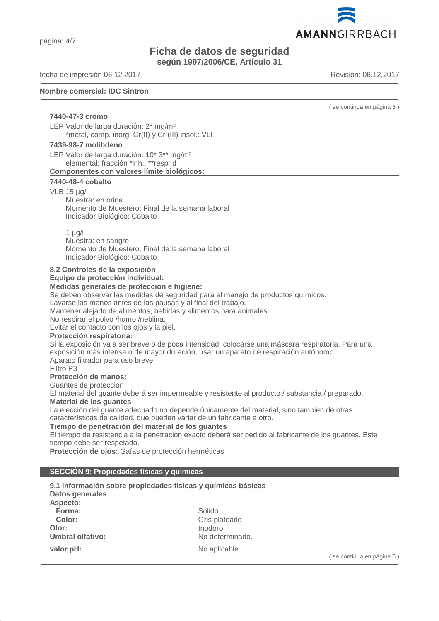página: 4/7

# **Ficha de datos de seguridad**

**según 1907/2006/CE, Artículo 31**

fecha de impresión 06.12.2017 Revisión: 06.12.2017

#### **Nombre comercial: IDC Sintron**

( se continua en página 3 )

**7440-47-3 cromo** LEP Valor de larga duración: 2\* mg/m<sup>3</sup> \*metal, comp. inorg. Cr(II) y Cr (III) insol.: VLI

#### **7439-98-7 molibdeno**

LEP Valor de larga duración: 10\* 3\*\* mg/m<sup>3</sup> elemental: fracción \*inh., \*\*resp; d **Componentes con valores límite biológicos:** 

#### **7440-48-4 cobalto**

#### VLB 15 µg/l

Muestra: en orina Momento de Muestero: Final de la semana laboral Indicador Biológico: Cobalto

 $1 \mu q/l$ Muestra: en sangre Momento de Muestero: Final de la semana laboral Indicador Biológico: Cobalto

#### **8.2 Controles de la exposición**

**Equipo de protección individual:**

#### **Medidas generales de protección e higiene:**

Se deben observar las medidas de seguridad para el manejo de productos químicos.

Lavarse las manos antes de las pausas y al final del trabajo.

Mantener alejado de alimentos, bebidas y alimentos para animales.

No respirar el polvo /humo /neblina.

Evitar el contacto con los ojos y la piel.

#### **Protección respiratoria:**

Si la exposición va a ser breve o de poca intensidad, colocarse una máscara respiratoria. Para una exposición más intensa o de mayor duración, usar un aparato de respiración autónomo. Aparato filtrador para uso breve:

#### Filtro P3

**Protección de manos:**

Guantes de protección

El material del guante deberá ser impermeable y resistente al producto / substancia / preparado. **Material de los guantes**

La elección del guante adecuado no depende únicamente del material, sino también de otras características de calidad, que pueden variar de un fabricante a otro.

#### **Tiempo de penetración del material de los guantes**

El tiempo de resistencia a la penetración exacto deberá ser pedido al fabricante de los guantes. Este tiempo debe ser respetado.

**Protección de ojos:** Gafas de protección herméticas

#### **SECCIÓN 9: Propiedades físicas y químicas**

**9.1 Información sobre propiedades físicas y químicas básicas Datos generales Aspecto: Forma:** Sólido **Color:** Gris plateado **Olor:** Inodoro **Umbral olfativo:** No determinado. **valor pH:** No aplicable.

( se continua en página 5 )

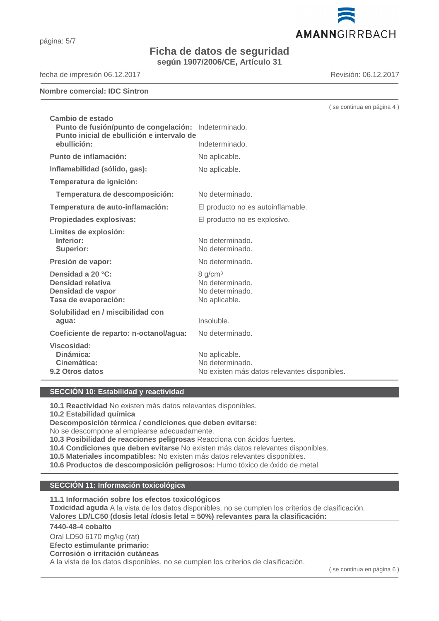# **Ficha de datos de seguridad**

**según 1907/2006/CE, Artículo 31**

fecha de impresión 06.12.2017 Revisión: 06.12.2017

#### **Nombre comercial: IDC Sintron**

| Cambio de estado<br>Punto de fusión/punto de congelación: Indeterminado.<br>Punto inicial de ebullición e intervalo de |                                                                                  |
|------------------------------------------------------------------------------------------------------------------------|----------------------------------------------------------------------------------|
| ebullición:                                                                                                            | Indeterminado.                                                                   |
| Punto de inflamación:                                                                                                  | No aplicable.                                                                    |
| Inflamabilidad (sólido, gas):                                                                                          | No aplicable.                                                                    |
| Temperatura de ignición:                                                                                               |                                                                                  |
| Temperatura de descomposición:                                                                                         | No determinado.                                                                  |
| Temperatura de auto-inflamación:                                                                                       | El producto no es autoinflamable.                                                |
| Propiedades explosivas:                                                                                                | El producto no es explosivo.                                                     |
| Límites de explosión:<br>Inferior:<br><b>Superior:</b>                                                                 | No determinado.<br>No determinado.                                               |
| Presión de vapor:                                                                                                      | No determinado.                                                                  |
| Densidad a 20 °C:<br>Densidad relativa<br>Densidad de vapor<br>Tasa de evaporación:                                    | 8 g/cm <sup>3</sup><br>No determinado.<br>No determinado.<br>No aplicable.       |
| Solubilidad en / miscibilidad con<br>agua:                                                                             | Insoluble.                                                                       |
| Coeficiente de reparto: n-octanol/agua:                                                                                | No determinado.                                                                  |
| Viscosidad:<br>Dinámica:<br>Cinemática:<br><b>9.2 Otros datos</b>                                                      | No aplicable.<br>No determinado.<br>No existen más datos relevantes disponibles. |

#### **SECCIÓN 10: Estabilidad y reactividad**

**10.1 Reactividad** No existen más datos relevantes disponibles.

**10.2 Estabilidad química**

#### **Descomposición térmica / condiciones que deben evitarse:**

No se descompone al emplearse adecuadamente.

**10.3 Posibilidad de reacciones peligrosas** Reacciona con ácidos fuertes.

**10.4 Condiciones que deben evitarse** No existen más datos relevantes disponibles.

**10.5 Materiales incompatibles:** No existen más datos relevantes disponibles.

**10.6 Productos de descomposición peligrosos:** Humo tóxico de óxido de metal

#### **SECCIÓN 11: Información toxicológica**

**11.1 Información sobre los efectos toxicológicos**

**Toxicidad aguda** A la vista de los datos disponibles, no se cumplen los criterios de clasificación. **Valores LD/LC50 (dosis letal /dosis letal = 50%) re levantes para la clasificación:** 

#### **7440-48-4 cobalto**

Oral LD50 6170 mg/kg (rat)

#### **Efecto estimulante primario:**

**Corrosión o irritación cutáneas**

A la vista de los datos disponibles, no se cumplen los criterios de clasificación.



AMANNGIRRBACH

( se continua en página 4 )

( se continua en página 6 )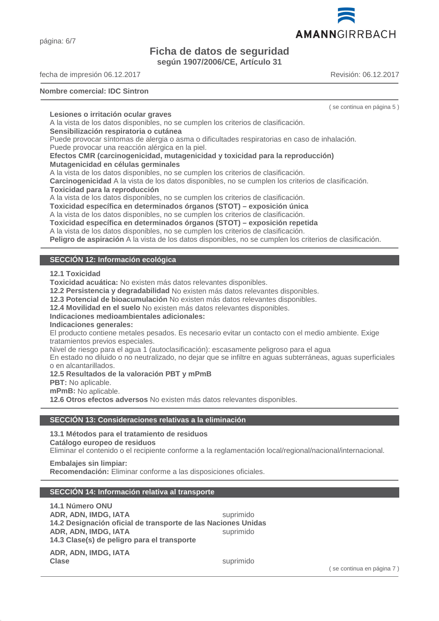página: 6/7

# **Ficha de datos de seguridad según 1907/2006/CE, Artículo 31**

fecha de impresión 06.12.2017 Revisión: 06.12.2017

#### **Nombre comercial: IDC Sintron**

( se continua en página 5 )

#### **Lesiones o irritación ocular graves**

A la vista de los datos disponibles, no se cumplen los criterios de clasificación.

#### **Sensibilización respiratoria o cutánea**

Puede provocar síntomas de alergia o asma o dificultades respiratorias en caso de inhalación. Puede provocar una reacción alérgica en la piel.

**Efectos CMR (carcinogenicidad, mutagenicidad y toxicidad para la reproducción) Mutagenicidad en células germinales**

A la vista de los datos disponibles, no se cumplen los criterios de clasificación.

**Carcinogenicidad** A la vista de los datos disponibles, no se cumplen los criterios de clasificación. **Toxicidad para la reproducción**

A la vista de los datos disponibles, no se cumplen los criterios de clasificación.

**Toxicidad específica en determinados órganos (STOT) – exposición única**

A la vista de los datos disponibles, no se cumplen los criterios de clasificación.

**Toxicidad específica en determinados órganos (STOT) – exposición repetida**

A la vista de los datos disponibles, no se cumplen los criterios de clasificación.

**Peligro de aspiración** A la vista de los datos disponibles, no se cumplen los criterios de clasificación.

# **SECCIÓN 12: Información ecológica**

#### **12.1 Toxicidad**

**Toxicidad acuática:** No existen más datos relevantes disponibles.

**12.2 Persistencia y degradabilidad** No existen más datos relevantes disponibles.

**12.3 Potencial de bioacumulación** No existen más datos relevantes disponibles.

**12.4 Movilidad en el suelo** No existen más datos relevantes disponibles.

#### **Indicaciones medioambientales adicionales:**

**Indicaciones generales:**

El producto contiene metales pesados. Es necesario evitar un contacto con el medio ambiente. Exige tratamientos previos especiales.

Nivel de riesgo para el agua 1 (autoclasificación): escasamente peligroso para el agua

En estado no diluido o no neutralizado, no dejar que se infiltre en aguas subterráneas, aguas superficiales o en alcantarillados.

#### **12.5 Resultados de la valoración PBT y mPmB**

**PBT:** No aplicable.

**mPmB:** No aplicable.

**12.6 Otros efectos adversos** No existen más datos relevantes disponibles.

#### **SECCIÓN 13: Consideraciones relativas a la eliminación**

#### **13.1 Métodos para el tratamiento de residuos**

**Catálogo europeo de residuos**

Eliminar el contenido o el recipiente conforme a la reglamentación local/regional/nacional/internacional.

#### **Embalajes sin limpiar:**

**Recomendación:** Eliminar conforme a las disposiciones oficiales.

#### **SECCIÓN 14: Información relativa al transporte**

**14.1 Número ONU ADR, ADN, IMDG, IATA** suprimido **14.2 Designación oficial de transporte de las Naciones Unidas ADR, ADN, IMDG, IATA** suprimido **14.3 Clase(s) de peligro para el transporte**

**ADR, ADN, IMDG, IATA Clase** suprimido

( se continua en página 7 )

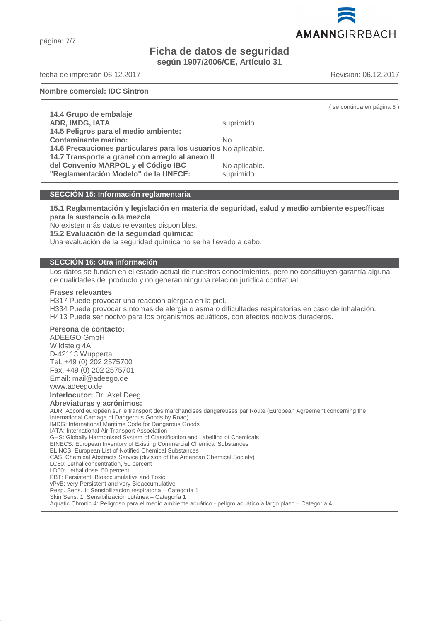página: 7/7

# **Ficha de datos de seguridad según 1907/2006/CE, Artículo 31**

fecha de impresión 06.12.2017 Revisión: 06.12.2017

**Nombre comercial: IDC Sintron**

| 14.4 Grupo de embalaje                                         |               |
|----------------------------------------------------------------|---------------|
| ADR, IMDG, IATA                                                | suprimido     |
| 14.5 Peligros para el medio ambiente:                          |               |
| <b>Contaminante marino:</b>                                    | No            |
| 14.6 Precauciones particulares para los usuarios No aplicable. |               |
| 14.7 Transporte a granel con arregio al anexo II               |               |
| del Convenio MARPOL y el Código IBC                            | No aplicable. |
| "Reglamentación Modelo" de la UNECE:                           | suprimido     |

#### **SECCIÓN 15: Información reglamentaria**

**15.1 Reglamentación y legislación en materia de seguridad, salud y medio ambiente específicas para la sustancia o la mezcla**

No existen más datos relevantes disponibles.

**15.2 Evaluación de la seguridad química:**

Una evaluación de la seguridad química no se ha llevado a cabo.

#### **SECCIÓN 16: Otra información**

Los datos se fundan en el estado actual de nuestros conocimientos, pero no constituyen garantía alguna de cualidades del producto y no generan ninguna relación jurídica contratual.

#### **Frases relevantes**

H317 Puede provocar una reacción alérgica en la piel. H334 Puede provocar síntomas de alergia o asma o dificultades respiratorias en caso de inhalación. H413 Puede ser nocivo para los organismos acuáticos, con efectos nocivos duraderos.

#### **Persona de contacto:**

ADEEGO GmbH Wildsteig 4A D-42113 Wuppertal Tel. +49 (0) 202 2575700 Fax. +49 (0) 202 2575701 Email: mail@adeego.de www.adeego.de **Interlocutor:** Dr. Axel Deeg **Abreviaturas y acrónimos:** ADR: Accord européen sur le transport des marchandises dangereuses par Route (European Agreement concerning the International Carriage of Dangerous Goods by Road) IMDG: International Maritime Code for Dangerous Goods IATA: International Air Transport Association GHS: Globally Harmonised System of Classification and Labelling of Chemicals EINECS: European Inventory of Existing Commercial Chemical Substances ELINCS: European List of Notified Chemical Substances CAS: Chemical Abstracts Service (division of the American Chemical Society) LC50: Lethal concentration, 50 percent LD50: Lethal dose, 50 percent PBT: Persistent, Bioaccumulative and Toxic vPvB: very Persistent and very Bioaccumulative Resp. Sens. 1: Sensibilización respiratoria – Categoría 1 Skin Sens. 1: Sensibilización cutánea – Categoría 1

Aquatic Chronic 4: Peligroso para el medio ambiente acuático - peligro acuático a largo plazo – Categoría 4

AMANNGIRRBACH

( se continua en página 6 )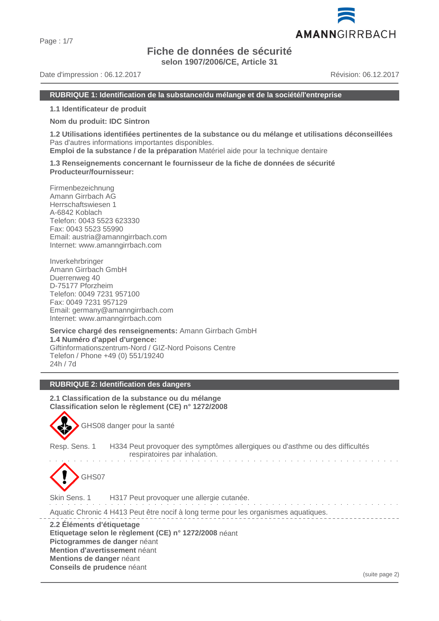# **Fiche de données de sécurité**

**selon 1907/2006/CE, Article 31**

Date d'impression : 06.12.2017 **Date de la compte de la compte de la compte de la compte de la compte de la compte de la compte de la compte de la compte de la compte de la compte de la compte de la compte de la compte de** 

#### **RUBRIQUE 1: Identification de la substance/du mélange et de la société/l'entreprise**

**1.1 Identificateur de produit**

**Nom du produit: IDC Sintron**

**1.2 Utilisations identifiées pertinentes de la substance ou du mélange et utilisations déconseillées** Pas d'autres informations importantes disponibles.

**Emploi de la substance / de la préparation** Matériel aide pour la technique dentaire

**1.3 Renseignements concernant le fournisseur de la fiche de données de sécurité Producteur/fournisseur:**

Firmenbezeichnung Amann Girrbach AG Herrschaftswiesen 1 A-6842 Koblach Telefon: 0043 5523 623330 Fax: 0043 5523 55990 Email: austria@amanngirrbach.com Internet: www.amanngirrbach.com

Inverkehrbringer Amann Girrbach GmbH Duerrenweg 40 D-75177 Pforzheim Telefon: 0049 7231 957100 Fax: 0049 7231 957129 Email: germany@amanngirrbach.com Internet: www.amanngirrbach.com

**Service chargé des renseignements:** Amann Girrbach GmbH **1.4 Numéro d'appel d'urgence:** Giftinformationszentrum-Nord / GIZ-Nord Poisons Centre Telefon / Phone +49 (0) 551/19240 24h / 7d

#### **RUBRIQUE 2: Identification des dangers**

**2.1 Classification de la substance ou du mélange Classification selon le règlement (CE) n° 1272/2008**



GHS08 danger pour la santé

Resp. Sens. 1 H334 Peut provoquer des symptômes allergiques ou d'asthme ou des difficultés respiratoires par inhalation.



Skin Sens. 1 H317 Peut provoquer une allergie cutanée.

Aquatic Chronic 4 H413 Peut être nocif à long terme pour les organismes aquatiques.

**2.2 Éléments d'étiquetage Etiquetage selon le règlement (CE) n° 1272/2008** néant **Pictogrammes de danger** néant **Mention d'avertissement** néant **Mentions de danger** néant **Conseils de prudence** néant

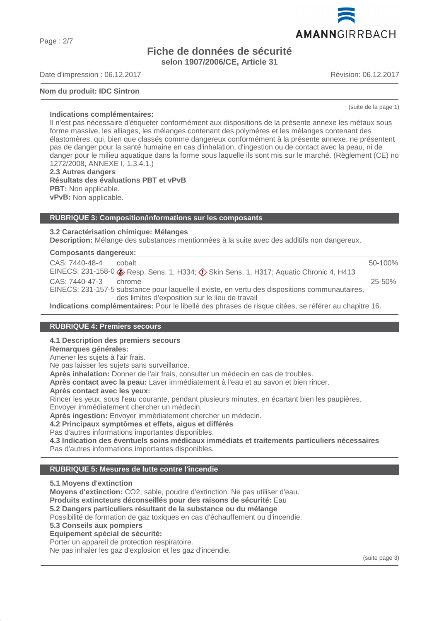Page : 2/7

# **Fiche de données de sécurité selon 1907/2006/CE, Article 31**

Date d'impression : 06.12.2017 **Date de la compte de la compte de la compte de la compte de la compte de la compte de la compte de la compte de la compte de la compte de la compte de la compte de la compte de la compte de** 

#### **Nom du produit: IDC Sintron**

**Indications complémentaires:**

Il n'est pas nécessaire d'étiqueter conformément aux dispositions de la présente annexe les métaux sous forme massive, les alliages, les mélanges contenant des polymères et les mélanges contenant des élastomères, qui, bien que classés comme dangereux conformément à la présente annexe, ne présentent pas de danger pour la santé humaine en cas d'inhalation, d'ingestion ou de contact avec la peau, ni de danger pour le milieu aquatique dans la forme sous laquelle ils sont mis sur le marché. (Règlement (CE) no 1272/2008, ANNEXE I, 1.3.4.1.)

**2.3 Autres dangers Résultats des évaluations PBT et vPvB PBT:** Non applicable. **vPvB:** Non applicable.

#### **RUBRIQUE 3: Composition/informations sur les composants**

**3.2 Caractérisation chimique: Mélanges Description:** Mélange des substances mentionnées à la suite avec des additifs non dangereux.

#### **Composants dangereux:**

| CAS: 7440-48-4 | cobalt                                                                                              | 50-100%    |
|----------------|-----------------------------------------------------------------------------------------------------|------------|
|                | EINECS: 231-158-0 CResp. Sens. 1, H334; C Skin Sens. 1, H317; Aquatic Chronic 4, H413               |            |
| CAS: 7440-47-3 | chrome                                                                                              | $25 - 50%$ |
|                | EINECS: 231-157-5 substance pour laquelle il existe, en vertu des dispositions communautaires,      |            |
|                | des limites d'exposition sur le lieu de travail                                                     |            |
|                | Indications complémentaires: Deur le libellé des phrases de rieque ejtése se référer au obenitre 16 |            |

**Indications complémentaires:** Pour le libellé des phrases de risque citées, se référer au chapitre 16.

#### **RUBRIQUE 4: Premiers secours**

**4.1 Description des premiers secours**

#### **Remarques générales:**

Amener les sujets à l'air frais.

Ne pas laisser les sujets sans surveillance.

**Après inhalation:** Donner de l'air frais, consulter un médecin en cas de troubles.

**Après contact avec la peau:** Laver immédiatement à l'eau et au savon et bien rincer.

**Après contact avec les yeux:**

Rincer les yeux, sous l'eau courante, pendant plusieurs minutes, en écartant bien les paupières. Envoyer immédiatement chercher un médecin.

**Après ingestion:** Envoyer immédiatement chercher un médecin.

**4.2 Principaux symptômes et effets, aigus et différés**

Pas d'autres informations importantes disponibles.

**4.3 Indication des éventuels soins médicaux immédiats et traitements particuliers nécessaires** Pas d'autres informations importantes disponibles.

#### **RUBRIQUE 5: Mesures de lutte contre l'incendie**

**5.1 Moyens d'extinction**

**Moyens d'extinction:** CO2, sable, poudre d'extinction. Ne pas utiliser d'eau.

**Produits extincteurs déconseillés pour des raisons de sécurité:** Eau

**5.2 Dangers particuliers résultant de la substance ou du mélange**

Possibilité de formation de gaz toxiques en cas d'échauffement ou d'incendie.

**5.3 Conseils aux pompiers**

**Equipement spécial de sécurité:**

Porter un appareil de protection respiratoire.

Ne pas inhaler les gaz d'explosion et les gaz d'incendie.

(suite page 3)



(suite de la page 1)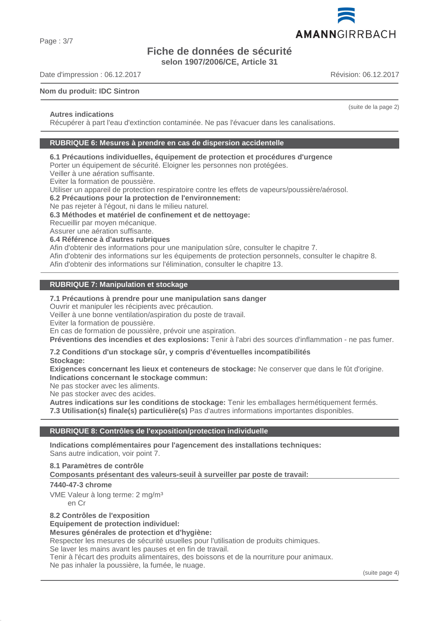Page : 3/7

# **Fiche de données de sécurité**

**selon 1907/2006/CE, Article 31**

Date d'impression : 06.12.2017 **Date de la compte de la compte de la compte de la compte de la compte de la compte de la compte de la compte de la compte de la compte de la compte de la compte de la compte de la compte de** 

#### **Nom du produit: IDC Sintron**

#### **Autres indications**

Récupérer à part l'eau d'extinction contaminée. Ne pas l'évacuer dans les canalisations.

#### **RUBRIQUE 6: Mesures à prendre en cas de dispersion accidentelle**

### **6.1 Précautions individuelles, équipement de protection et procédures d'urgence**

Porter un équipement de sécurité. Eloigner les personnes non protégées.

Veiller à une aération suffisante.

Eviter la formation de poussière.

Utiliser un appareil de protection respiratoire contre les effets de vapeurs/poussière/aérosol.

#### **6.2 Précautions pour la protection de l'environnement:**

Ne pas rejeter à l'égout, ni dans le milieu naturel.

#### **6.3 Méthodes et matériel de confinement et de nettoyage:**

Recueillir par moyen mécanique.

Assurer une aération suffisante.

#### **6.4 Référence à d'autres rubriques**

Afin d'obtenir des informations pour une manipulation sûre, consulter le chapitre 7.

Afin d'obtenir des informations sur les équipements de protection personnels, consulter le chapitre 8.

Afin d'obtenir des informations sur l'élimination, consulter le chapitre 13.

#### **RUBRIQUE 7: Manipulation et stockage**

#### **7.1 Précautions à prendre pour une manipulation sans danger**

Ouvrir et manipuler les récipients avec précaution.

Veiller à une bonne ventilation/aspiration du poste de travail.

Eviter la formation de poussière.

En cas de formation de poussière, prévoir une aspiration.

**Préventions des incendies et des explosions:** Tenir à l'abri des sources d'inflammation - ne pas fumer.

#### **7.2 Conditions d'un stockage sûr, y compris d'éventuelles incompatibilités**

**Stockage:**

**Exigences concernant les lieux et conteneurs de stockage:** Ne conserver que dans le fût d'origine. **Indications concernant le stockage commun:**

Ne pas stocker avec les aliments.

Ne pas stocker avec des acides.

**Autres indications sur les conditions de stockage:** Tenir les emballages hermétiquement fermés. **7.3 Utilisation(s) finale(s) particulière(s)** Pas d'autres informations importantes disponibles.

#### **RUBRIQUE 8: Contrôles de l'exposition/protection individuelle**

**Indications complémentaires pour l'agencement des installations techniques:** Sans autre indication, voir point 7.

#### **8.1 Paramètres de contrôle**

Composants présentant des valeurs-seuil à surveiller par poste de travail:

#### **7440-47-3 chrome**

VME Valeur à long terme: 2 mg/m<sup>3</sup> en Cr

**8.2 Contrôles de l'exposition**

#### **Equipement de protection individuel:**

# **Mesures générales de protection et d'hygiène:**

Respecter les mesures de sécurité usuelles pour l'utilisation de produits chimiques.

Se laver les mains avant les pauses et en fin de travail.

Tenir à l'écart des produits alimentaires, des boissons et de la nourriture pour animaux. Ne pas inhaler la poussière, la fumée, le nuage.

(suite page 4)

(suite de la page 2)

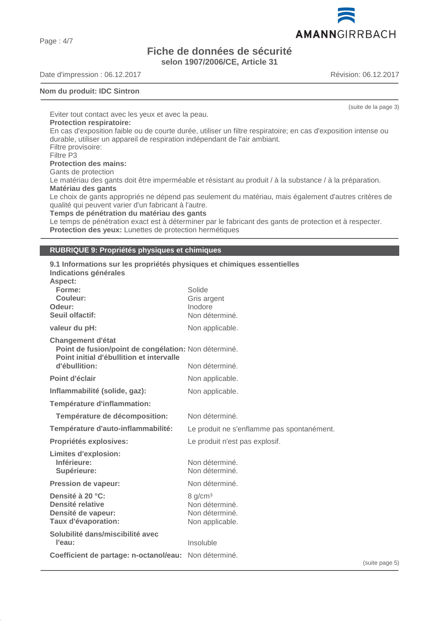Page : 4/7

# **Fiche de données de sécurité selon 1907/2006/CE, Article 31**

Date d'impression : 06.12.2017 <br>
Révision: 06.12.2017

#### **Nom du produit: IDC Sintron**

Eviter tout contact avec les yeux et avec la peau. **Protection respiratoire:** En cas d'exposition faible ou de courte durée, utiliser un filtre respiratoire; en cas d'exposition intense ou durable, utiliser un appareil de respiration indépendant de l'air ambiant. Filtre provisoire: Filtre P3 **Protection des mains:** Gants de protection Le matériau des gants doit être imperméable et résistant au produit / à la substance / à la préparation. **Matériau des gants** Le choix de gants appropriés ne dépend pas seulement du matériau, mais également d'autres critères de qualité qui peuvent varier d'un fabricant à l'autre. **Temps de pénétration du matériau des gants** Le temps de pénétration exact est à déterminer par le fabricant des gants de protection et à respecter. **Protection des yeux:** Lunettes de protection hermétiques

#### **RUBRIQUE 9: Propriétés physiques et chimiques**

| 9.1 Informations sur les propriétés physiques et chimiques essentielles<br>Indications générales<br>Aspect:                  |                                                                            |
|------------------------------------------------------------------------------------------------------------------------------|----------------------------------------------------------------------------|
| Forme:<br>Couleur:                                                                                                           | Solide                                                                     |
| Odeur:                                                                                                                       | Gris argent<br>Inodore                                                     |
| <b>Seuil olfactif:</b>                                                                                                       | Non déterminé.                                                             |
| valeur du pH:                                                                                                                | Non applicable.                                                            |
| <b>Changement d'état</b><br>Point de fusion/point de congélation: Non déterminé.<br>Point initial d'ébullition et intervalle |                                                                            |
| d'ébullition:                                                                                                                | Non déterminé.                                                             |
| Point d'éclair                                                                                                               | Non applicable.                                                            |
| Inflammabilité (solide, gaz):                                                                                                | Non applicable.                                                            |
| Température d'inflammation:                                                                                                  |                                                                            |
| Température de décomposition:                                                                                                | Non déterminé.                                                             |
| Température d'auto-inflammabilité:                                                                                           | Le produit ne s'enflamme pas spontanément.                                 |
| Propriétés explosives:                                                                                                       | Le produit n'est pas explosif.                                             |
| <b>Limites d'explosion:</b><br>Inférieure:<br>Supérieure:                                                                    | Non déterminé.<br>Non déterminé.                                           |
| <b>Pression de vapeur:</b>                                                                                                   | Non déterminé.                                                             |
| Densité à 20 °C:<br>Densité relative<br>Densité de vapeur:<br>Taux d'évaporation:                                            | 8 g/cm <sup>3</sup><br>Non déterminé.<br>Non déterminé.<br>Non applicable. |
| Solubilité dans/miscibilité avec<br>l'eau:                                                                                   | Insoluble                                                                  |
| Coefficient de partage: n-octanol/eau: Non déterminé.                                                                        |                                                                            |



(suite de la page 3)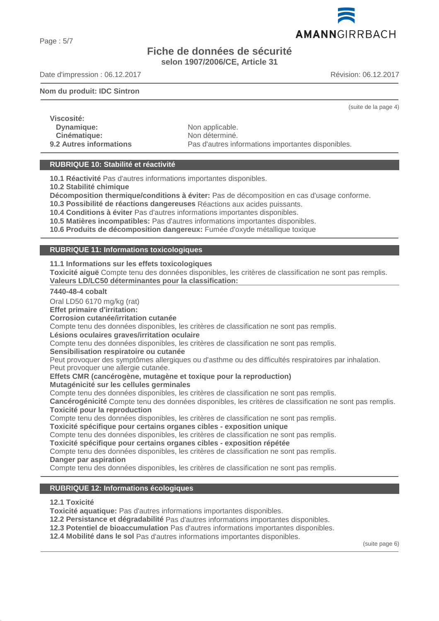# **Fiche de données de sécurité selon 1907/2006/CE, Article 31**

Date d'impression : 06.12.2017 **Date de la compte de la compte de la compte de la compte de la compte de la compte de la compte de la compte de la compte de la compte de la compte de la compte de la compte de la compte de** 

#### **Nom du produit: IDC Sintron**

(suite de la page 4)

**Viscosité: Dynamique:** Non applicable. **Cinématique:** Non déterminé.<br> **9.2 Autres informations**<br> **Pas d'autres informations** 

Pas d'autres informations importantes disponibles.

#### **RUBRIQUE 10: Stabilité et réactivité**

**10.1 Réactivité** Pas d'autres informations importantes disponibles.

**10.2 Stabilité chimique**

**Décomposition thermique/conditions à éviter:** Pas de décomposition en cas d'usage conforme.

**10.3 Possibilité de réactions dangereuses** Réactions aux acides puissants.

**10.4 Conditions à éviter** Pas d'autres informations importantes disponibles.

**10.5 Matières incompatibles:** Pas d'autres informations importantes disponibles.

**10.6 Produits de décomposition dangereux:** Fumée d'oxyde métallique toxique

#### **RUBRIQUE 11: Informations toxicologiques**

**11.1 Informations sur les effets toxicologiques**

**Toxicité aiguë** Compte tenu des données disponibles, les critères de classification ne sont pas remplis. Valeurs LD/LC50 déterminantes pour la classification:

#### **7440-48-4 cobalt**

Oral LD50 6170 mg/kg (rat)

**Effet primaire d'irritation:**

**Corrosion cutanée/irritation cutanée**

Compte tenu des données disponibles, les critères de classification ne sont pas remplis.

**Lésions oculaires graves/irritation oculaire**

Compte tenu des données disponibles, les critères de classification ne sont pas remplis.

**Sensibilisation respiratoire ou cutanée**

Peut provoquer des symptômes allergiques ou d'asthme ou des difficultés respiratoires par inhalation.

Peut provoquer une allergie cutanée.

**Effets CMR (cancérogène, mutagène et toxique pour la reproduction)**

**Mutagénicité sur les cellules germinales**

Compte tenu des données disponibles, les critères de classification ne sont pas remplis.

**Cancérogénicité** Compte tenu des données disponibles, les critères de classification ne sont pas remplis. **Toxicité pour la reproduction**

Compte tenu des données disponibles, les critères de classification ne sont pas remplis.

**Toxicité spécifique pour certains organes cibles - exposition unique**

Compte tenu des données disponibles, les critères de classification ne sont pas remplis.

**Toxicité spécifique pour certains organes cibles - exposition répétée**

Compte tenu des données disponibles, les critères de classification ne sont pas remplis. **Danger par aspiration**

Compte tenu des données disponibles, les critères de classification ne sont pas remplis.

#### **RUBRIQUE 12: Informations écologiques**

**12.1 Toxicité**

**Toxicité aquatique:** Pas d'autres informations importantes disponibles.

**12.2 Persistance et dégradabilité** Pas d'autres informations importantes disponibles.

**12.3 Potentiel de bioaccumulation** Pas d'autres informations importantes disponibles.

**12.4 Mobilité dans le sol** Pas d'autres informations importantes disponibles.

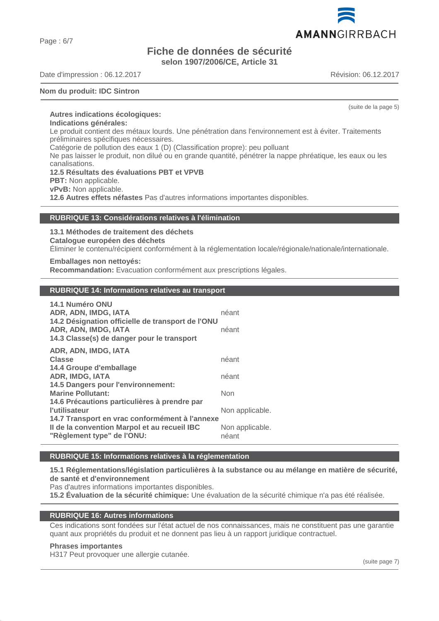Page : 6/7

# **Fiche de données de sécurité selon 1907/2006/CE, Article 31**

Date d'impression : 06.12.2017 **Date de la compte de la compte de la compte de la compte de la compte de la compte de la compte de la compte de la compte de la compte de la compte de la compte de la compte de la compte de** 

#### **Nom du produit: IDC Sintron**

(suite de la page 5)

**Autres indications écologiques: Indications générales:**

Le produit contient des métaux lourds. Une pénétration dans l'environnement est à éviter. Traitements préliminaires spécifiques nécessaires.

Catégorie de pollution des eaux 1 (D) (Classification propre): peu polluant

Ne pas laisser le produit, non dilué ou en grande quantité, pénétrer la nappe phréatique, les eaux ou les canalisations.

#### **12.5 Résultats des évaluations PBT et VPVB**

**PBT:** Non applicable.

**vPvB:** Non applicable.

**12.6 Autres effets néfastes** Pas d'autres informations importantes disponibles.

#### **RUBRIQUE 13: Considérations relatives à l'élimination**

#### **13.1 Méthodes de traitement des déchets**

**Catalogue européen des déchets**

Éliminer le contenu/récipient conformément à la réglementation locale/régionale/nationale/internationale.

#### **Emballages non nettoyés:**

**Recommandation:** Evacuation conformément aux prescriptions légales.

#### **RUBRIQUE 14: Informations relatives au transport**

| 14.1 Numéro ONU<br>ADR, ADN, IMDG, IATA<br>14.2 Désignation officielle de transport de l'ONU<br>ADR, ADN, IMDG, IATA<br>14.3 Classe(s) de danger pour le transport | néant<br>néant           |
|--------------------------------------------------------------------------------------------------------------------------------------------------------------------|--------------------------|
| ADR, ADN, IMDG, IATA<br><b>Classe</b><br>14.4 Groupe d'emballage                                                                                                   | néant                    |
| <b>ADR, IMDG, IATA</b><br>14.5 Dangers pour l'environnement:                                                                                                       | néant                    |
| <b>Marine Pollutant:</b>                                                                                                                                           | Non                      |
| 14.6 Précautions particulières à prendre par<br><b>l'utilisateur</b>                                                                                               | Non applicable.          |
| 14.7 Transport en vrac conformément à l'annexe<br>Il de la convention Marpol et au recueil IBC<br>"Règlement type" de l'ONU:                                       | Non applicable.<br>néant |

# **RUBRIQUE 15: Informations relatives à la réglementation**

**15.1 Réglementations/législation particulières à la substance ou au mélange en matière de sécurité, de santé et d'environnement**

Pas d'autres informations importantes disponibles.

**15.2 Évaluation de la sécurité chimique:** Une évaluation de la sécurité chimique n'a pas été réalisée.

#### **RUBRIQUE 16: Autres informations**

Ces indications sont fondées sur l'état actuel de nos connaissances, mais ne constituent pas une garantie quant aux propriétés du produit et ne donnent pas lieu à un rapport juridique contractuel.

#### **Phrases importantes**

H317 Peut provoquer une allergie cutanée.

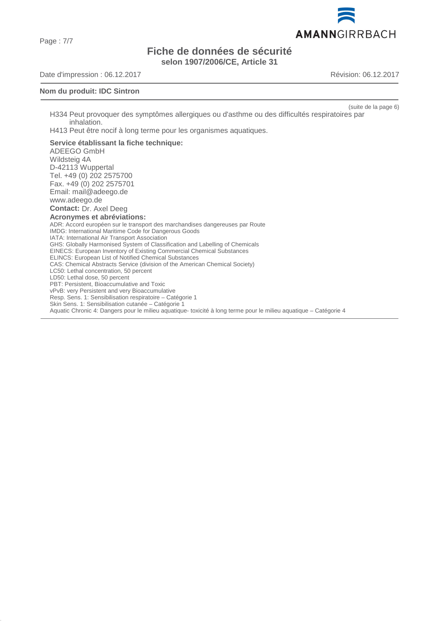Page : 7/7

# **Fiche de données de sécurité selon 1907/2006/CE, Article 31**

Date d'impression : 06.12.2017 <br>
Révision: 06.12.2017

#### **Nom du produit: IDC Sintron**

(suite de la page 6)

H334 Peut provoquer des symptômes allergiques ou d'asthme ou des difficultés respiratoires par inhalation.

H413 Peut être nocif à long terme pour les organismes aquatiques.

#### **Service établissant la fiche technique:**

ADEEGO GmbH Wildsteig 4A D-42113 Wuppertal Tel. +49 (0) 202 2575700 Fax. +49 (0) 202 2575701 Email: mail@adeego.de www.adeego.de **Contact:** Dr. Axel Deeg **Acronymes et abréviations:** ADR: Accord européen sur le transport des marchandises dangereuses par Route IMDG: International Maritime Code for Dangerous Goods IATA: International Air Transport Association GHS: Globally Harmonised System of Classification and Labelling of Chemicals EINECS: European Inventory of Existing Commercial Chemical Substances ELINCS: European List of Notified Chemical Substances CAS: Chemical Abstracts Service (division of the American Chemical Society) LC50: Lethal concentration, 50 percent LD50: Lethal dose, 50 percent PBT: Persistent, Bioaccumulative and Toxic vPvB: very Persistent and very Bioaccumulative Resp. Sens. 1: Sensibilisation respiratoire – Catégorie 1 Skin Sens. 1: Sensibilisation cutanée – Catégorie 1 Aquatic Chronic 4: Dangers pour le milieu aquatique- toxicité à long terme pour le milieu aquatique – Catégorie 4

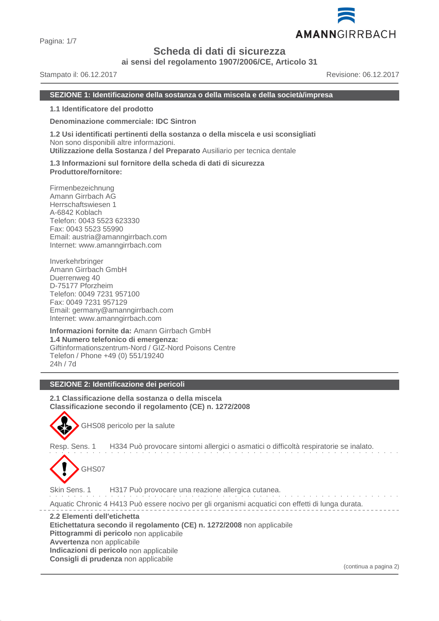

Pagina: 1/7

# **Scheda di dati di sicurezza**

**ai sensi del regolamento 1907/2006/CE, Articolo 31**

Stampato il: 06.12.2017 Revisione: 06.12.2017

#### **SEZIONE 1: Identificazione della sostanza o della miscela e della società/impresa**

**1.1 Identificatore del prodotto**

**Denominazione commerciale: IDC Sintron**

**1.2 Usi identificati pertinenti della sostanza o della miscela e usi sconsigliati** Non sono disponibili altre informazioni. **Utilizzazione della Sostanza / del Preparato** Ausiliario per tecnica dentale

**1.3 Informazioni sul fornitore della scheda di dati di sicurezza Produttore/fornitore:**

Firmenbezeichnung Amann Girrbach AG Herrschaftswiesen 1 A-6842 Koblach Telefon: 0043 5523 623330 Fax: 0043 5523 55990 Email: austria@amanngirrbach.com Internet: www.amanngirrbach.com

Inverkehrbringer Amann Girrbach GmbH Duerrenweg 40 D-75177 Pforzheim Telefon: 0049 7231 957100 Fax: 0049 7231 957129 Email: germany@amanngirrbach.com Internet: www.amanngirrbach.com

**Informazioni fornite da:** Amann Girrbach GmbH **1.4 Numero telefonico di emergenza:** Giftinformationszentrum-Nord / GIZ-Nord Poisons Centre Telefon / Phone +49 (0) 551/19240 24h / 7d

#### **SEZIONE 2: Identificazione dei pericoli**

**2.1 Classificazione della sostanza o della miscela Classificazione secondo il regolamento (CE) n. 1272/2008**



GHS08 pericolo per la salute

Resp. Sens. 1 H334 Può provocare sintomi allergici o asmatici o difficoltà respiratorie se inalato.



Skin Sens. 1 H317 Può provocare una reazione allergica cutanea.

and a resource of the second control. Aquatic Chronic 4 H413 Può essere nocivo per gli organismi acquatici con effetti di lunga durata.

**2.2 Elementi dell'etichetta**

**Etichettatura secondo il regolamento (CE) n. 1272/2008** non applicabile

**Pittogrammi di pericolo** non applicabile

**Avvertenza** non applicabile

**Indicazioni di pericolo** non applicabile

**Consigli di prudenza** non applicabile

(continua a pagina 2)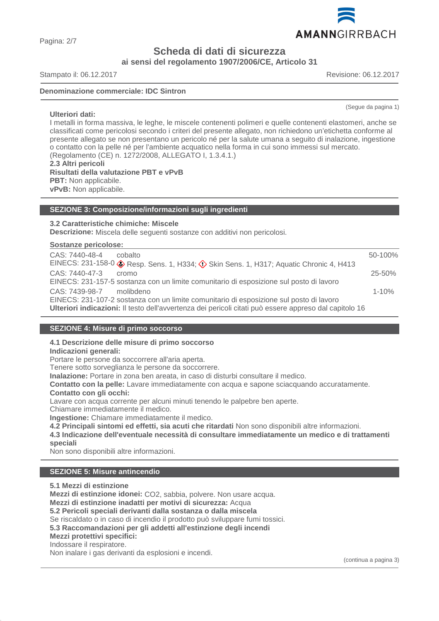**Scheda di dati di sicurezza**

**ai sensi del regolamento 1907/2006/CE, Articolo 31**

Stampato il: 06.12.2017 Revisione: 06.12.2017

**Ulteriori dati:**

#### **Denominazione commerciale: IDC Sintron**

I metalli in forma massiva, le leghe, le miscele contenenti polimeri e quelle contenenti elastomeri, anche se classificati come pericolosi secondo i criteri del presente allegato, non richiedono un'etichetta conforme al presente allegato se non presentano un pericolo né per la salute umana a seguito di inalazione, ingestione o contatto con la pelle né per l'ambiente acquatico nella forma in cui sono immessi sul mercato. (Regolamento (CE) n. 1272/2008, ALLEGATO I, 1.3.4.1.) **2.3 Altri pericoli Risultati della valutazione PBT e vPvB PBT:** Non applicabile.

**vPvB:** Non applicabile.

#### **SEZIONE 3: Composizione/informazioni sugli ingredienti**

#### **3.2 Caratteristiche chimiche: Miscele**

**Descrizione:** Miscela delle seguenti sostanze con additivi non pericolosi.

#### **Sostanze pericolose:**

| CAS: 7440-48-4<br>cobalto                                                                              | 50-100%     |
|--------------------------------------------------------------------------------------------------------|-------------|
| EINECS: 231-158-0 & Resp. Sens. 1, H334; $\Diamond$ Skin Sens. 1, H317; Aquatic Chronic 4, H413        |             |
| CAS: 7440-47-3<br>cromo                                                                                | $25 - 50\%$ |
| EINECS: 231-157-5 sostanza con un limite comunitario di esposizione sul posto di lavoro                |             |
| CAS: 7439-98-7 molibdeno                                                                               | $1 - 10%$   |
| EINECS: 231-107-2 sostanza con un limite comunitario di esposizione sul posto di lavoro                |             |
| Ulteriori indicazioni: Il testo dell'avvertenza dei pericoli citati può essere appreso dal capitolo 16 |             |

#### **SEZIONE 4: Misure di primo soccorso**

# **4.1 Descrizione delle misure di primo soccorso**

# **Indicazioni generali:**

Portare le persone da soccorrere all'aria aperta.

Tenere sotto sorveglianza le persone da soccorrere.

**Inalazione:** Portare in zona ben areata, in caso di disturbi consultare il medico.

**Contatto con la pelle:** Lavare immediatamente con acqua e sapone sciacquando accuratamente.

#### **Contatto con gli occhi:**

Lavare con acqua corrente per alcuni minuti tenendo le palpebre ben aperte.

Chiamare immediatamente il medico.

**Ingestione:** Chiamare immediatamente il medico.

**4.2 Principali sintomi ed effetti, sia acuti che ritardati** Non sono disponibili altre informazioni.

**4.3 Indicazione dell'eventuale necessità di consultare immediatamente un medico e di trattamenti speciali**

Non sono disponibili altre informazioni.

## **SEZIONE 5: Misure antincendio**

**5.1 Mezzi di estinzione Mezzi di estinzione idonei:** CO2, sabbia, polvere. Non usare acqua. **Mezzi di estinzione inadatti per motivi di sicurezza:** Acqua **5.2 Pericoli speciali derivanti dalla sostanza o dalla miscela** Se riscaldato o in caso di incendio il prodotto può sviluppare fumi tossici. **5.3 Raccomandazioni per gli addetti all'estinzione degli incendi Mezzi protettivi specifici:** Indossare il respiratore. Non inalare i gas derivanti da esplosioni e incendi.

(continua a pagina 3)



(Segue da pagina 1)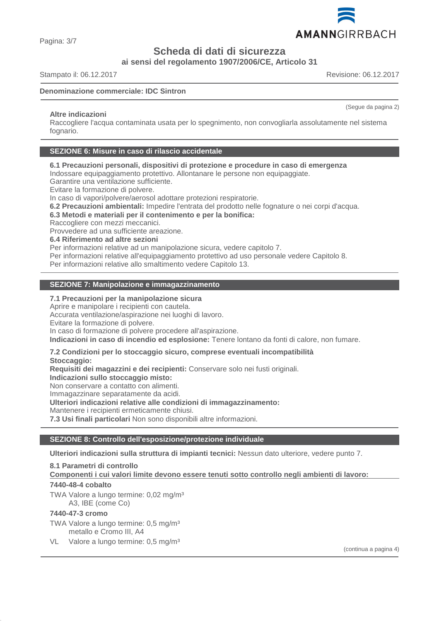

Pagina: 3/7

**Scheda di dati di sicurezza**

**ai sensi del regolamento 1907/2006/CE, Articolo 31**

Stampato il: 06.12.2017 Revisione: 06.12.2017

#### **Denominazione commerciale: IDC Sintron**

#### **Altre indicazioni**

Raccogliere l'acqua contaminata usata per lo spegnimento, non convogliarla assolutamente nel sistema fognario.

#### **SEZIONE 6: Misure in caso di rilascio accidentale**

**6.1 Precauzioni personali, dispositivi di protezione e procedure in caso di emergenza**

Indossare equipaggiamento protettivo. Allontanare le persone non equipaggiate.

Garantire una ventilazione sufficiente.

Evitare la formazione di polvere.

In caso di vapori/polvere/aerosol adottare protezioni respiratorie.

**6.2 Precauzioni ambientali:** Impedire l'entrata del prodotto nelle fognature o nei corpi d'acqua.

#### **6.3 Metodi e materiali per il contenimento e per la bonifica:**

Raccogliere con mezzi meccanici.

Provvedere ad una sufficiente areazione.

**6.4 Riferimento ad altre sezioni**

Per informazioni relative ad un manipolazione sicura, vedere capitolo 7.

Per informazioni relative all'equipaggiamento protettivo ad uso personale vedere Capitolo 8.

Per informazioni relative allo smaltimento vedere Capitolo 13.

#### **SEZIONE 7: Manipolazione e immagazzinamento**

#### **7.1 Precauzioni per la manipolazione sicura**

Aprire e manipolare i recipienti con cautela.

Accurata ventilazione/aspirazione nei luoghi di lavoro.

Evitare la formazione di polvere.

In caso di formazione di polvere procedere all'aspirazione.

**Indicazioni in caso di incendio ed esplosione:** Tenere lontano da fonti di calore, non fumare.

#### **7.2 Condizioni per lo stoccaggio sicuro, comprese eventuali incompatibilità**

**Stoccaggio:**

**Requisiti dei magazzini e dei recipienti:** Conservare solo nei fusti originali.

**Indicazioni sullo stoccaggio misto:**

Non conservare a contatto con alimenti.

Immagazzinare separatamente da acidi. **Ulteriori indicazioni relative alle condizioni di immagazzinamento:**

Mantenere i recipienti ermeticamente chiusi.

**7.3 Usi finali particolari** Non sono disponibili altre informazioni.

### **SEZIONE 8: Controllo dell'esposizione/protezione individuale**

**Ulteriori indicazioni sulla struttura di impianti tecnici:** Nessun dato ulteriore, vedere punto 7.

**8.1 Parametri di controllo**

**Componenti i cui valori limite devono essere tenuti sotto controllo negli ambienti di lavoro:** 

#### **7440-48-4 cobalto**

TWA Valore a lungo termine: 0,02 mg/m<sup>3</sup> A3, IBE (come Co)

# **7440-47-3 cromo**

TWA Valore a lungo termine: 0,5 mg/m<sup>3</sup> metallo e Cromo III, A4

VL Valore a lungo termine: 0,5 mg/m<sup>3</sup>

(continua a pagina 4)

(Segue da pagina 2)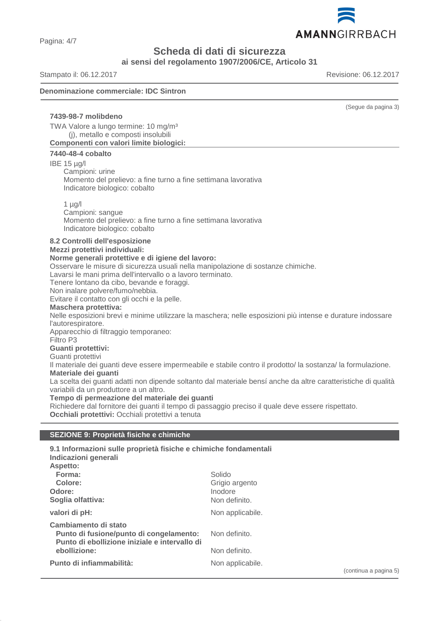

Pagina: 4/7

# **Scheda di dati di sicurezza**

**ai sensi del regolamento 1907/2006/CE, Articolo 31**

Stampato il: 06.12.2017 Revisione: 06.12.2017

#### **Denominazione commerciale: IDC Sintron**

|                                                                                                                                        |                                                                                                                | (Segue da pagina 3)   |
|----------------------------------------------------------------------------------------------------------------------------------------|----------------------------------------------------------------------------------------------------------------|-----------------------|
| 7439-98-7 molibdeno                                                                                                                    |                                                                                                                |                       |
| TWA Valore a lungo termine: 10 mg/m <sup>3</sup><br>(j), metallo e composti insolubili                                                 |                                                                                                                |                       |
| Componenti con valori limite biologici:                                                                                                |                                                                                                                |                       |
| 7440-48-4 cobalto                                                                                                                      |                                                                                                                |                       |
| IBE $15 \mu g/l$                                                                                                                       |                                                                                                                |                       |
| Campioni: urine<br>Momento del prelievo: a fine turno a fine settimana lavorativa                                                      |                                                                                                                |                       |
| Indicatore biologico: cobalto                                                                                                          |                                                                                                                |                       |
|                                                                                                                                        |                                                                                                                |                       |
| $1$ µg/l<br>Campioni: sangue                                                                                                           |                                                                                                                |                       |
| Momento del prelievo: a fine turno a fine settimana lavorativa                                                                         |                                                                                                                |                       |
| Indicatore biologico: cobalto                                                                                                          |                                                                                                                |                       |
| 8.2 Controlli dell'esposizione                                                                                                         |                                                                                                                |                       |
| Mezzi protettivi individuali:                                                                                                          |                                                                                                                |                       |
| Norme generali protettive e di igiene del lavoro:<br>Osservare le misure di sicurezza usuali nella manipolazione di sostanze chimiche. |                                                                                                                |                       |
| Lavarsi le mani prima dell'intervallo o a lavoro terminato.                                                                            |                                                                                                                |                       |
| Tenere lontano da cibo, bevande e foraggi.<br>Non inalare polvere/fumo/nebbia.                                                         |                                                                                                                |                       |
| Evitare il contatto con gli occhi e la pelle.                                                                                          |                                                                                                                |                       |
| <b>Maschera protettiva:</b>                                                                                                            |                                                                                                                |                       |
| l'autorespiratore.                                                                                                                     | Nelle esposizioni brevi e minime utilizzare la maschera; nelle esposizioni più intense e durature indossare    |                       |
| Apparecchio di filtraggio temporaneo:                                                                                                  |                                                                                                                |                       |
| Filtro P <sub>3</sub>                                                                                                                  |                                                                                                                |                       |
| Guanti protettivi:<br>Guanti protettivi                                                                                                |                                                                                                                |                       |
|                                                                                                                                        | Il materiale dei guanti deve essere impermeabile e stabile contro il prodotto/ la sostanza/ la formulazione.   |                       |
| Materiale dei guanti                                                                                                                   |                                                                                                                |                       |
| variabili da un produttore a un altro.                                                                                                 | La scelta dei guanti adatti non dipende soltanto dal materiale bensí anche da altre caratteristiche di qualità |                       |
| Tempo di permeazione del materiale dei guanti                                                                                          |                                                                                                                |                       |
| Richiedere dal fornitore dei guanti il tempo di passaggio preciso il quale deve essere rispettato.                                     |                                                                                                                |                       |
| Occhiali protettivi: Occhiali protettivi a tenuta                                                                                      |                                                                                                                |                       |
| SEZIONE 9: Proprietà fisiche e chimiche                                                                                                |                                                                                                                |                       |
|                                                                                                                                        |                                                                                                                |                       |
| 9.1 Informazioni sulle proprietà fisiche e chimiche fondamentali<br>Indicazioni generali                                               |                                                                                                                |                       |
| Aspetto:                                                                                                                               |                                                                                                                |                       |
| Forma:                                                                                                                                 | Solido                                                                                                         |                       |
| Colore:<br>Odore:                                                                                                                      | Grigio argento<br>Inodore                                                                                      |                       |
| Soglia olfattiva:                                                                                                                      | Non definito.                                                                                                  |                       |
| valori di pH:                                                                                                                          | Non applicabile.                                                                                               |                       |
| Cambiamento di stato                                                                                                                   |                                                                                                                |                       |
| Punto di fusione/punto di congelamento:                                                                                                | Non definito.                                                                                                  |                       |
| Punto di ebollizione iniziale e intervallo di                                                                                          |                                                                                                                |                       |
| ebollizione:                                                                                                                           | Non definito.                                                                                                  |                       |
| Punto di infiammabilità:                                                                                                               | Non applicabile.                                                                                               |                       |
|                                                                                                                                        |                                                                                                                | (continua a pagina 5) |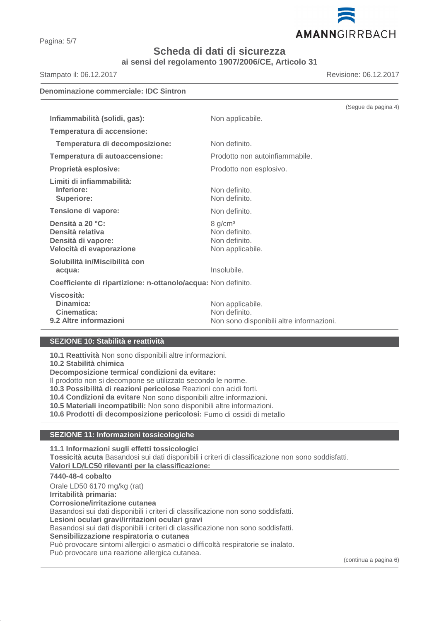

Pagina: 5/7

# **Scheda di dati di sicurezza**

**ai sensi del regolamento 1907/2006/CE, Articolo 31**

Stampato il: 06.12.2017 Revisione: 06.12.2017

| <b>Denominazione commerciale: IDC Sintron</b>                                          |                                                                               |                     |
|----------------------------------------------------------------------------------------|-------------------------------------------------------------------------------|---------------------|
|                                                                                        |                                                                               | (Segue da pagina 4) |
| Infiammabilità (solidi, gas):                                                          | Non applicabile.                                                              |                     |
| Temperatura di accensione:                                                             |                                                                               |                     |
| Temperatura di decomposizione:                                                         | Non definito.                                                                 |                     |
| Temperatura di autoaccensione:                                                         | Prodotto non autoinfiammabile.                                                |                     |
| Proprietà esplosive:                                                                   | Prodotto non esplosivo.                                                       |                     |
| Limiti di infiammabilità:<br>Inferiore:<br><b>Superiore:</b>                           | Non definito.<br>Non definito.                                                |                     |
| Tensione di vapore:                                                                    | Non definito.                                                                 |                     |
| Densità a 20 °C:<br>Densità relativa<br>Densità di vapore:<br>Velocità di evaporazione | 8 g/cm <sup>3</sup><br>Non definito.<br>Non definito.<br>Non applicabile.     |                     |
| Solubilità in/Miscibilità con<br>acqua:                                                | Insolubile.                                                                   |                     |
| Coefficiente di ripartizione: n-ottanolo/acqua: Non definito.                          |                                                                               |                     |
| Viscosità:<br>Dinamica:<br>Cinematica:<br>9.2 Altre informazioni                       | Non applicabile.<br>Non definito.<br>Non sono disponibili altre informazioni. |                     |

# **SEZIONE 10: Stabilità e reattività**

**10.1 Reattività** Non sono disponibili altre informazioni.

**10.2 Stabilità chimica**

**Decomposizione termica/ condizioni da evitare:**

Il prodotto non si decompone se utilizzato secondo le norme.

**10.3 Possibilità di reazioni pericolose** Reazioni con acidi forti.

**10.4 Condizioni da evitare** Non sono disponibili altre informazioni.

**10.5 Materiali incompatibili:** Non sono disponibili altre informazioni.

**10.6 Prodotti di decomposizione pericolosi:** Fumo di ossidi di metallo

## **SEZIONE 11: Informazioni tossicologiche**

**11.1 Informazioni sugli effetti tossicologici Tossicità acuta** Basandosi sui dati disponibili i criteri di classificazione non sono soddisfatti. **Valori LD/LC50 rilevanti per la classificazione:** 

#### **7440-48-4 cobalto**

Orale LD50 6170 mg/kg (rat) **Irritabilità primaria: Corrosione/irritazione cutanea** Basandosi sui dati disponibili i criteri di classificazione non sono soddisfatti. **Lesioni oculari gravi/irritazioni oculari gravi** Basandosi sui dati disponibili i criteri di classificazione non sono soddisfatti. **Sensibilizzazione respiratoria o cutanea** Può provocare sintomi allergici o asmatici o difficoltà respiratorie se inalato. Può provocare una reazione allergica cutanea.

(continua a pagina 6)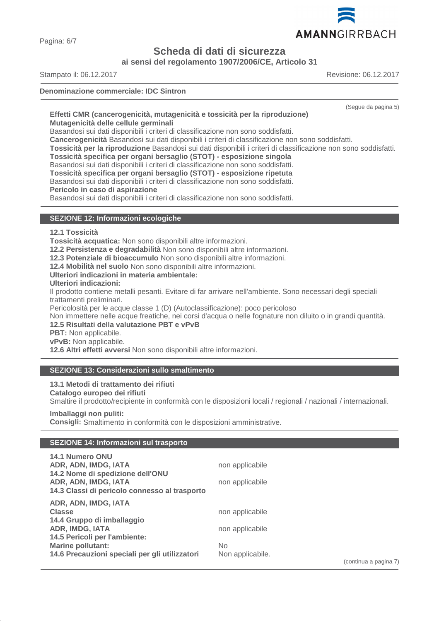

Pagina: 6/7

**Scheda di dati di sicurezza**

**ai sensi del regolamento 1907/2006/CE, Articolo 31**

Stampato il: 06.12.2017 Revisione: 06.12.2017

#### **Denominazione commerciale: IDC Sintron**

(Segue da pagina 5)

#### **Effetti CMR (cancerogenicità, mutagenicità e tossicità per la riproduzione) Mutagenicità delle cellule germinali**

Basandosi sui dati disponibili i criteri di classificazione non sono soddisfatti.

**Cancerogenicità** Basandosi sui dati disponibili i criteri di classificazione non sono soddisfatti.

**Tossicità per la riproduzione** Basandosi sui dati disponibili i criteri di classificazione non sono soddisfatti.

**Tossicità specifica per organi bersaglio (STOT) - esposizione singola**

Basandosi sui dati disponibili i criteri di classificazione non sono soddisfatti.

**Tossicità specifica per organi bersaglio (STOT) - esposizione ripetuta**

Basandosi sui dati disponibili i criteri di classificazione non sono soddisfatti.

**Pericolo in caso di aspirazione**

Basandosi sui dati disponibili i criteri di classificazione non sono soddisfatti.

## **SEZIONE 12: Informazioni ecologiche**

#### **12.1 Tossicità**

**Tossicità acquatica:** Non sono disponibili altre informazioni.

**12.2 Persistenza e degradabilità** Non sono disponibili altre informazioni.

**12.3 Potenziale di bioaccumulo** Non sono disponibili altre informazioni.

**12.4 Mobilità nel suolo** Non sono disponibili altre informazioni.

**Ulteriori indicazioni in materia ambientale:**

**Ulteriori indicazioni:**

Il prodotto contiene metalli pesanti. Evitare di far arrivare nell'ambiente. Sono necessari degli speciali trattamenti preliminari.

Pericolosità per le acque classe 1 (D) (Autoclassificazione): poco pericoloso

Non immettere nelle acque freatiche, nei corsi d'acqua o nelle fognature non diluito o in grandi quantità.

## **12.5 Risultati della valutazione PBT e vPvB**

**PBT:** Non applicabile.

**vPvB:** Non applicabile.

**12.6 Altri effetti avversi** Non sono disponibili altre informazioni.

## **SEZIONE 13: Considerazioni sullo smaltimento**

#### **13.1 Metodi di trattamento dei rifiuti**

#### **Catalogo europeo dei rifiuti**

Smaltire il prodotto/recipiente in conformità con le disposizioni locali / regionali / nazionali / internazionali.

#### **Imballaggi non puliti:**

**Consigli:** Smaltimento in conformità con le disposizioni amministrative.

#### **SEZIONE 14: Informazioni sul trasporto**

| <b>14.1 Numero ONU</b>                         |                  |                       |
|------------------------------------------------|------------------|-----------------------|
| ADR, ADN, IMDG, IATA                           | non applicabile  |                       |
| 14.2 Nome di spedizione dell'ONU               |                  |                       |
| ADR, ADN, IMDG, IATA                           | non applicabile  |                       |
| 14.3 Classi di pericolo connesso al trasporto  |                  |                       |
| ADR, ADN, IMDG, IATA                           |                  |                       |
| <b>Classe</b>                                  | non applicabile  |                       |
| 14.4 Gruppo di imballaggio                     |                  |                       |
| ADR, IMDG, IATA                                | non applicabile  |                       |
| 14.5 Pericoli per l'ambiente:                  |                  |                       |
| <b>Marine pollutant:</b>                       | No.              |                       |
| 14.6 Precauzioni speciali per gli utilizzatori | Non applicabile. |                       |
|                                                |                  | (continua a pagina 7) |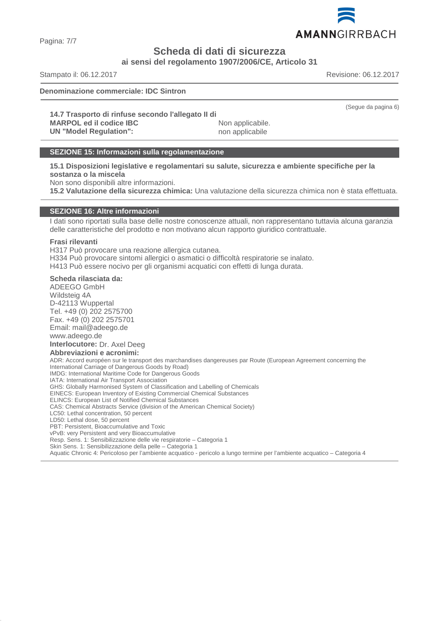

Pagina: 7/7

**Scheda di dati di sicurezza**

**ai sensi del regolamento 1907/2006/CE, Articolo 31**

Stampato il: 06.12.2017 Revisione: 06.12.2017

#### **Denominazione commerciale: IDC Sintron**

(Segue da pagina 6)

**14.7 Trasporto di rinfuse secondo l'allegato II di MARPOL ed il codice IBC** Non applicabile. **UN "Model Regulation":** non applicabile

#### **SEZIONE 15: Informazioni sulla regolamentazione**

**15.1 Disposizioni legislative e regolamentari su salute, sicurezza e ambiente specifiche per la sostanza o la miscela**

Non sono disponibili altre informazioni.

**15.2 Valutazione della sicurezza chimica:** Una valutazione della sicurezza chimica non è stata effettuata.

#### **SEZIONE 16: Altre informazioni**

I dati sono riportati sulla base delle nostre conoscenze attuali, non rappresentano tuttavia alcuna garanzia delle caratteristiche del prodotto e non motivano alcun rapporto giuridico contrattuale.

#### **Frasi rilevanti**

H317 Può provocare una reazione allergica cutanea. H334 Può provocare sintomi allergici o asmatici o difficoltà respiratorie se inalato. H413 Può essere nocivo per gli organismi acquatici con effetti di lunga durata.

#### **Scheda rilasciata da:**

ADEEGO GmbH Wildsteig 4A D-42113 Wuppertal Tel. +49 (0) 202 2575700 Fax. +49 (0) 202 2575701 Email: mail@adeego.de www.adeego.de **Interlocutore:** Dr. Axel Deeg **Abbreviazioni e acronimi:** ADR: Accord européen sur le transport des marchandises dangereuses par Route (European Agreement concerning the International Carriage of Dangerous Goods by Road) IMDG: International Maritime Code for Dangerous Goods IATA: International Air Transport Association GHS: Globally Harmonised System of Classification and Labelling of Chemicals EINECS: European Inventory of Existing Commercial Chemical Substances ELINCS: European List of Notified Chemical Substances CAS: Chemical Abstracts Service (division of the American Chemical Society) LC50: Lethal concentration, 50 percent LD50: Lethal dose, 50 percent PBT: Persistent, Bioaccumulative and Toxic vPvB: very Persistent and very Bioaccumulative Resp. Sens. 1: Sensibilizzazione delle vie respiratorie – Categoria 1 Skin Sens. 1: Sensibilizzazione della pelle – Categoria 1 Aquatic Chronic 4: Pericoloso per l'ambiente acquatico - pericolo a lungo termine per l'ambiente acquatico – Categoria 4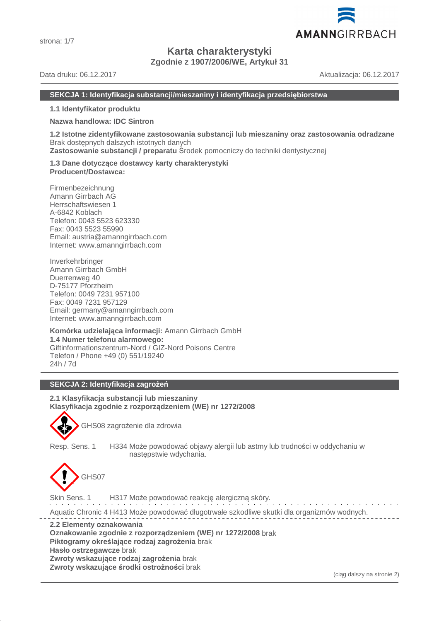

**Karta charakterystyki**

**Zgodnie z 1907/2006/WE, Artykuł 31**

Data druku: 06.12.2017 Aktualizacja: 06.12.2017

#### **SEKCJA 1: Identyfikacja substancji/mieszaniny i identyfikacja przedsiębiorstwa**

#### **1.1 Identyfikator produktu**

#### **Nazwa handlowa: IDC Sintron**

**1.2 Istotne zidentyfikowane zastosowania substancji lub mieszaniny oraz zastosowania odradzane** Brak dostępnych dalszych istotnych danych

**Zastosowanie substancji / preparatu** Środek pomocniczy do techniki dentystycznej

#### **1.3 Dane dotyczące dostawcy karty charakterystyki Producent/Dostawca:**

Firmenbezeichnung Amann Girrbach AG Herrschaftswiesen 1 A-6842 Koblach Telefon: 0043 5523 623330 Fax: 0043 5523 55990 Email: austria@amanngirrbach.com Internet: www.amanngirrbach.com

Inverkehrbringer Amann Girrbach GmbH Duerrenweg 40 D-75177 Pforzheim Telefon: 0049 7231 957100 Fax: 0049 7231 957129 Email: germany@amanngirrbach.com Internet: www.amanngirrbach.com

**Komórka udzielająca informacji:** Amann Girrbach GmbH **1.4 Numer telefonu alarmowego:** Giftinformationszentrum-Nord / GIZ-Nord Poisons Centre Telefon / Phone +49 (0) 551/19240 24h / 7d

# **SEKCJA 2: Identyfikacja zagrożeń**

#### **2.1 Klasyfikacja substancji lub mieszaniny Klasyfikacja zgodnie z rozporządzeniem (WE) nr 1272/2008**



GHS08 zagrożenie dla zdrowia

Resp. Sens. 1 H334 Może powodować objawy alergii lub astmy lub trudności w oddychaniu w następstwie wdychania.



Skin Sens. 1 H317 Może powodować reakcję alergiczną skóry.

Aquatic Chronic 4 H413 Może powodować długotrwałe szkodliwe skutki dla organizmów wodnych.

**2.2 Elementy oznakowania**

**Oznakowanie zgodnie z rozporządzeniem (WE) nr 1272/2008** brak **Piktogramy określające rodzaj zagrożenia** brak **Hasło ostrzegawcze** brak **Zwroty wskazujące rodzaj zagrożenia** brak **Zwroty wskazujące środki ostrożności** brak

(ciąg dalszy na stronie 2)

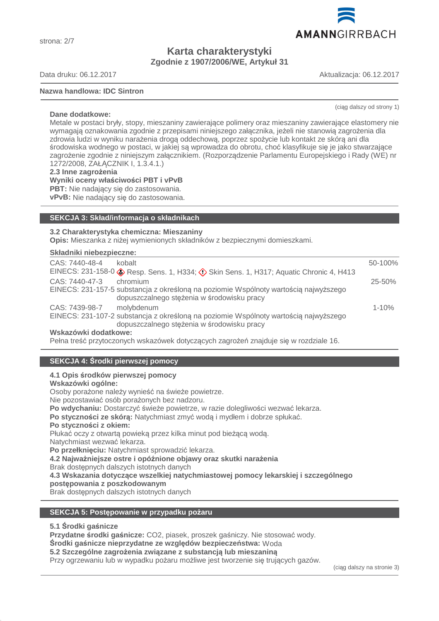strona: 2/7

# **Karta charakterystyki Zgodnie z 1907/2006/WE, Artykuł 31**

Data druku: 06.12.2017 Aktualizacja: 06.12.2017

**Dane dodatkowe:**

#### **Nazwa handlowa: IDC Sintron**

(ciąg dalszy od strony 1)

Metale w postaci bryły, stopy, mieszaniny zawierające polimery oraz mieszaniny zawierające elastomery nie wymagają oznakowania zgodnie z przepisami niniejszego załącznika, jeżeli nie stanowią zagrożenia dla zdrowia ludzi w wyniku narażenia drogą oddechową, poprzez spożycie lub kontakt ze skórą ani dla środowiska wodnego w postaci, w jakiej są wprowadza do obrotu, choć klasyfikuje się je jako stwarzające zagrożenie zgodnie z niniejszym załącznikiem. (Rozporządzenie Parlamentu Europejskiego i Rady (WE) nr 1272/2008, ZAŁĄCZNIK I, 1.3.4.1.)

#### **2.3 Inne zagrożenia**

**Wyniki oceny właściwości PBT i vPvB**

**PBT:** Nie nadający się do zastosowania.

**vPvB:** Nie nadający się do zastosowania.

# **SEKCJA 3: Skład/informacja o składnikach**

#### **3.2 Charakterystyka chemiczna: Mieszaniny**

**Opis:** Mieszanka z niżej wymienionych składników z bezpiecznymi domieszkami.

#### **Składniki niebezpieczne:**

| CAS: 7440-48-4<br>kobalt                                                                                                           | 50-100%    |
|------------------------------------------------------------------------------------------------------------------------------------|------------|
| EINECS: 231-158-0 & Resp. Sens. 1, H334; $\Diamond$ Skin Sens. 1, H317; Aquatic Chronic 4, H413                                    |            |
| CAS: 7440-47-3<br>chromium                                                                                                         | $25 - 50%$ |
| EINECS: 231-157-5 substancja z określoną na poziomie Wspólnoty wartością najwyższego<br>dopuszczalnego stężenia w środowisku pracy |            |
| CAS: 7439-98-7<br>molybdenum                                                                                                       | $1 - 10%$  |
| EINECS: 231-107-2 substancja z określoną na poziomie Wspólnoty wartością najwyższego<br>dopuszczalnego stężenia w środowisku pracy |            |
| Wskazówki dodatkowe:                                                                                                               |            |

Pełna treść przytoczonych wskazówek dotyczących zagrożeń znajduje się w rozdziale 16.

# **SEKCJA 4: Środki pierwszej pomocy**

#### **4.1 Opis środków pierwszej pomocy**

#### **Wskazówki ogólne:**

Osoby porażone należy wynieść na świeże powietrze.

Nie pozostawiać osób porażonych bez nadzoru.

**Po wdychaniu:** Dostarczyć świeże powietrze, w razie dolegliwości wezwać lekarza.

**Po styczności ze skórą:** Natychmiast zmyć wodą i mydłem i dobrze spłukać.

#### **Po styczności z okiem:**

Płukać oczy z otwartą powieką przez kilka minut pod bieżącą wodą.

Natychmiast wezwać lekarza.

**Po przełknięciu:** Natychmiast sprowadzić lekarza.

**4.2 Najważniejsze ostre i opóźnione objawy oraz skutki narażenia**

Brak dostępnych dalszych istotnych danych

**4.3 Wskazania dotyczące wszelkiej natychmiastowej pomocy lekarskiej i szczególnego**

#### **postępowania z poszkodowanym**

Brak dostępnych dalszych istotnych danych

### **SEKCJA 5: Postępowanie w przypadku pożaru**

#### **5.1 Środki gaśnicze**

**Przydatne środki gaśnicze:** CO2, piasek, proszek gaśniczy. Nie stosować wody.

# **Środki gaśnicze nieprzydatne ze względów bezpieczeństwa:** Woda

### **5.2 Szczególne zagrożenia związane z substancją lub mieszaniną**

Przy ogrzewaniu lub w wypadku pożaru możliwe jest tworzenie się trujących gazów.

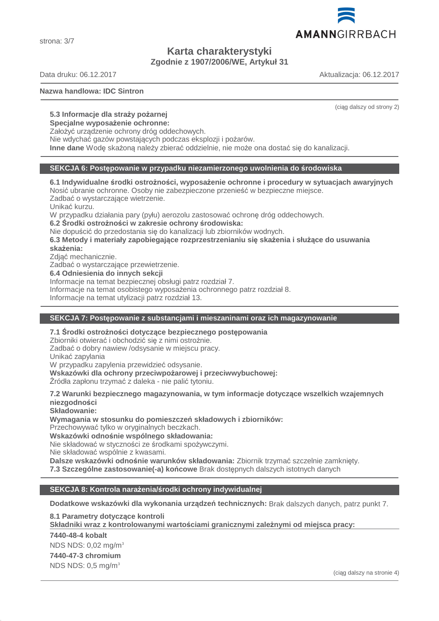strona: 3/7

**Karta charakterystyki**

**Zgodnie z 1907/2006/WE, Artykuł 31**

Data druku: 06.12.2017 Aktualizacja: 06.12.2017

#### **Nazwa handlowa: IDC Sintron**

(ciąg dalszy od strony 2)

# **5.3 Informacje dla straży pożarnej**

**Specjalne wyposażenie ochronne:**

Założyć urządzenie ochrony dróg oddechowych.

Nie wdychać gazów powstających podczas eksplozji i pożarów.

**Inne dane** Wodę skażoną należy zbierać oddzielnie, nie może ona dostać się do kanalizacji.

#### **SEKCJA 6: Postępowanie w przypadku niezamierzonego uwolnienia do środowiska**

**6.1 Indywidualne środki ostrożności, wyposażenie ochronne i procedury w sytuacjach awaryjnych** Nosić ubranie ochronne. Osoby nie zabezpieczone przenieść w bezpieczne miejsce.

Zadbać o wystarczające wietrzenie.

Unikać kurzu.

W przypadku działania pary (pyłu) aerozolu zastosować ochronę dróg oddechowych.

**6.2 Środki ostrożności w zakresie ochrony środowiska:**

Nie dopuścić do przedostania się do kanalizacji lub zbiorników wodnych.

**6.3 Metody i materiały zapobiegające rozprzestrzenianiu się skażenia i służące do usuwania skażenia:**

Zdjąć mechanicznie.

Zadbać o wystarczające przewietrzenie.

**6.4 Odniesienia do innych sekcji**

Informacje na temat bezpiecznej obsługi patrz rozdział 7.

Informacje na temat osobistego wyposażenia ochronnego patrz rozdział 8.

Informacje na temat utylizacji patrz rozdział 13.

# **SEKCJA 7: Postępowanie z substancjami i mieszaninami oraz ich magazynowanie**

#### **7.1 Środki ostrożności dotyczące bezpiecznego postępowania**

Zbiorniki otwierać i obchodzić się z nimi ostrożnie.

Zadbać o dobry nawiew /odsysanie w miejscu pracy.

Unikać zapylania

W przypadku zapylenia przewidzieć odsysanie.

**Wskazówki dla ochrony przeciwpożarowej i przeciwwybuchowej:**

Źródła zapłonu trzymać z daleka - nie palić tytoniu.

**7.2 Warunki bezpiecznego magazynowania, w tym informacje dotyczące wszelkich wzajemnych niezgodności**

**Składowanie:**

**Wymagania w stosunku do pomieszczeń składowych i zbiorników:**

Przechowywać tylko w oryginalnych beczkach.

**Wskazówki odnośnie wspólnego składowania:**

Nie składować w styczności ze środkami spożywczymi.

Nie składować wspólnie z kwasami.

**Dalsze wskazówki odnośnie warunków składowania:** Zbiornik trzymać szczelnie zamknięty.

**7.3 Szczególne zastosowanie(-a) końcowe** Brak dostępnych dalszych istotnych danych

## **SEKCJA 8: Kontrola narażenia/środki ochrony indywidualnej**

**Dodatkowe wskazówki dla wykonania urządzeń technicznych:** Brak dalszych danych, patrz punkt 7.

**8.1 Parametry dotyczące kontroli Składniki wraz z kontrolowanymi warto ściami granicznymi zale żnymi od miejsca pracy: 7440-48-4 kobalt** NDS NDS: 0,02 mg/m<sup>3</sup> **7440-47-3 chromium** NDS NDS: 0,5 mg/m<sup>3</sup>

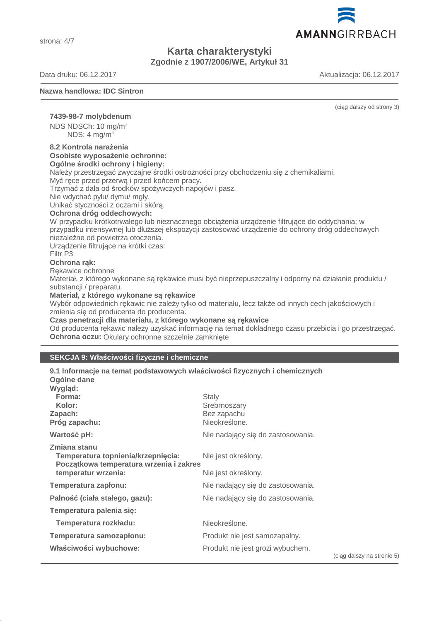strona: 4/7

# **Karta charakterystyki Zgodnie z 1907/2006/WE, Artykuł 31**

Data druku: 06.12.2017 Aktualizacja: 06.12.2017

#### **Nazwa handlowa: IDC Sintron**

(ciąg dalszy od strony 3)

## **7439-98-7 molybdenum**

NDS NDSCh: 10 mg/m<sup>3</sup> NDS:  $4 \text{ ma/m}^3$ 

#### **8.2 Kontrola narażenia Osobiste wyposażenie ochronne:**

**Ogólne środki ochrony i higieny:**

Należy przestrzegać zwyczajne środki ostrożności przy obchodzeniu się z chemikaliami.

Myć ręce przed przerwą i przed końcem pracy.

Trzymać z dala od środków spożywczych napojów i pasz.

Nie wdychać pyłu/ dymu/ mgły.

Unikać styczności z oczami i skórą.

#### **Ochrona dróg oddechowych:**

W przypadku krótkotrwałego lub nieznacznego obciążenia urządzenie filtrujące do oddychania; w przypadku intensywnej lub dłuższej ekspozycji zastosować urządzenie do ochrony dróg oddechowych niezależne od powietrza otoczenia.

Urządzenie filtrujące na krótki czas:

#### Filtr P3

#### **Ochrona rąk:**

Rękawice ochronne

Materiał, z którego wykonane są rękawice musi być nieprzepuszczalny i odporny na działanie produktu / substancji / preparatu.

#### **Materiał, z którego wykonane są rękawice**

Wybór odpowiednich rękawic nie zależy tylko od materiału, lecz także od innych cech jakościowych i zmienia się od producenta do producenta.

**Czas penetracji dla materiału, z którego wykonane są rękawice**

Od producenta rękawic należy uzyskać informację na temat dokładnego czasu przebicia i go przestrzegać. **Ochrona oczu:** Okulary ochronne szczelnie zamknięte

#### **SEKCJA 9: Właściwości fizyczne i chemiczne**

| 9.1 Informacje na temat podstawowych właściwości fizycznych i chemicznych<br>Ogólne dane                             |                                                       |                            |
|----------------------------------------------------------------------------------------------------------------------|-------------------------------------------------------|----------------------------|
| Wygląd:<br>Forma:<br>Kolor:<br>Zapach:<br>Próg zapachu:                                                              | Stały<br>Srebrnoszary<br>Bez zapachu<br>Nieokreślone. |                            |
| Wartość pH:                                                                                                          | Nie nadający się do zastosowania.                     |                            |
| Zmiana stanu<br>Temperatura topnienia/krzepnięcia:<br>Początkowa temperatura wrzenia i zakres<br>temperatur wrzenia: | Nie jest określony.<br>Nie jest określony.            |                            |
| Temperatura zapłonu:                                                                                                 | Nie nadający się do zastosowania.                     |                            |
| Palność (ciała stałego, gazu):                                                                                       | Nie nadający się do zastosowania.                     |                            |
| Temperatura palenia się:                                                                                             |                                                       |                            |
| Temperatura rozkładu:                                                                                                | Nieokreślone.                                         |                            |
| Temperatura samozapłonu:                                                                                             | Produkt nie jest samozapalny.                         |                            |
| Właściwości wybuchowe:                                                                                               | Produkt nie jest grozi wybuchem.                      | (ciag dalszy na stronie 5) |

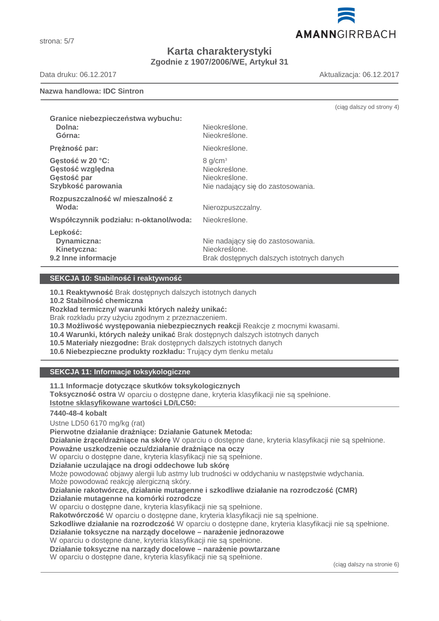strona: 5/7

# **Karta charakterystyki Zgodnie z 1907/2006/WE, Artykuł 31**

Data druku: 06.12.2017 Aktualizacja: 06.12.2017

#### **Nazwa handlowa: IDC Sintron**

|                                                                           |                                                                                                 | (ciąg dalszy od strony 4) |
|---------------------------------------------------------------------------|-------------------------------------------------------------------------------------------------|---------------------------|
| Granice niebezpieczeństwa wybuchu:<br>Dolna:<br>Górna:                    | Nieokreślone.<br>Nieokreślone.                                                                  |                           |
| Prężność par:                                                             | Nieokreślone.                                                                                   |                           |
| Gęstość w 20 °C:<br>Gęstość względna<br>Gęstość par<br>Szybkość parowania | 8 g/cm <sup>3</sup><br>Nieokreślone.<br>Nieokreślone.<br>Nie nadający się do zastosowania.      |                           |
| Rozpuszczalność w/mieszalność z<br>Woda:                                  | Nierozpuszczalny.                                                                               |                           |
| Współczynnik podziału: n-oktanol/woda:                                    | Nieokreślone.                                                                                   |                           |
| Lepkość:<br>Dynamiczna:<br>Kinetyczna:<br>9.2 Inne informacje             | Nie nadający się do zastosowania.<br>Nieokreślone.<br>Brak dostępnych dalszych istotnych danych |                           |

#### **SEKCJA 10: Stabilność i reaktywność**

**10.1 Reaktywność** Brak dostępnych dalszych istotnych danych

**10.2 Stabilność chemiczna**

**Rozkład termiczny/ warunki których należy unikać:**

Brak rozkładu przy użyciu zgodnym z przeznaczeniem.

**10.3 Możliwość występowania niebezpiecznych reakcji** Reakcje z mocnymi kwasami.

- **10.4 Warunki, których należy unikać** Brak dostępnych dalszych istotnych danych
- **10.5 Materiały niezgodne:** Brak dostępnych dalszych istotnych danych

**10.6 Niebezpieczne produkty rozkładu:** Trujący dym tlenku metalu

# **SEKCJA 11: Informacje toksykologiczne**

**11.1 Informacje dotyczące skutków toksykologicznych**

**Toksyczność ostra** W oparciu o dostępne dane, kryteria klasyfikacji nie są spełnione.

**Istotne sklasyfikowane warto ś ci LD/LC50:** 

#### **7440-48-4 kobalt**

Ustne LD50 6170 mg/kg (rat)

**Pierwotne działanie drażniące: Działanie Gatunek Metoda:**

**Działanie żrące/drażniące na skórę** W oparciu o dostępne dane, kryteria klasyfikacji nie są spełnione. **Poważne uszkodzenie oczu/działanie drażniące na oczy**

W oparciu o dostępne dane, kryteria klasyfikacji nie są spełnione.

**Działanie uczulające na drogi oddechowe lub skórę**

Może powodować objawy alergii lub astmy lub trudności w oddychaniu w następstwie wdychania. Może powodować reakcję alergiczną skóry.

**Działanie rakotwórcze, działanie mutagenne i szkodliwe działanie na rozrodczość (CMR)**

**Działanie mutagenne na komórki rozrodcze**

W oparciu o dostępne dane, kryteria klasyfikacji nie są spełnione.

**Rakotwórczość** W oparciu o dostępne dane, kryteria klasyfikacji nie są spełnione.

**Szkodliwe działanie na rozrodczość** W oparciu o dostępne dane, kryteria klasyfikacji nie są spełnione.

**Działanie toksyczne na narządy docelowe – narażenie jednorazowe**

W oparciu o dostępne dane, kryteria klasyfikacji nie są spełnione.

**Działanie toksyczne na narządy docelowe – narażenie powtarzane**

W oparciu o dostępne dane, kryteria klasyfikacji nie są spełnione.

(ciąg dalszy na stronie 6)

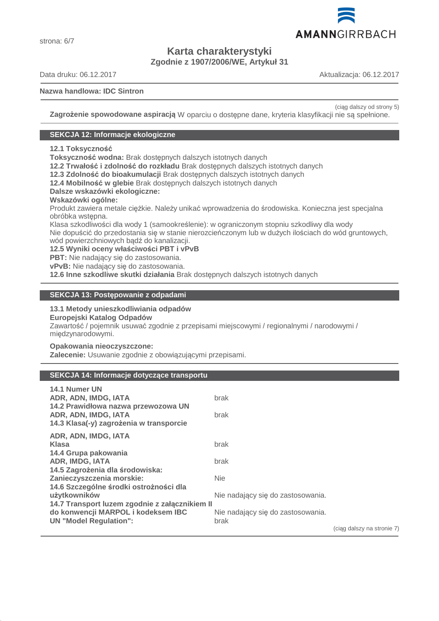# **Karta charakterystyki Zgodnie z 1907/2006/WE, Artykuł 31**

Data druku: 06.12.2017 Aktualizacja: 06.12.2017

strona: 6/7

**Nazwa handlowa: IDC Sintron**

AMANNGIRRBACH

(ciąg dalszy od strony 5)

**Zagrożenie spowodowane aspiracją** W oparciu o dostępne dane, kryteria klasyfikacji nie są spełnione.

#### **SEKCJA 12: Informacje ekologiczne**

**12.1 Toksyczność**

**Toksyczność wodna:** Brak dostępnych dalszych istotnych danych

**12.2 Trwałość i zdolność do rozkładu** Brak dostępnych dalszych istotnych danych

**12.3 Zdolność do bioakumulacji** Brak dostępnych dalszych istotnych danych

**12.4 Mobilność w glebie** Brak dostępnych dalszych istotnych danych

**Dalsze wskazówki ekologiczne:**

#### **Wskazówki ogólne:**

Produkt zawiera metale ciężkie. Należy unikać wprowadzenia do środowiska. Konieczna jest specjalna obróbka wstępna.

Klasa szkodliwości dla wody 1 (samookreślenie): w ograniczonym stopniu szkodliwy dla wody Nie dopuścić do przedostania się w stanie nierozcieńczonym lub w dużych ilościach do wód gruntowych, wód powierzchniowych bądź do kanalizacji.

**12.5 Wyniki oceny właściwości PBT i vPvB**

**PBT:** Nie nadający się do zastosowania.

**vPvB:** Nie nadający się do zastosowania.

**12.6 Inne szkodliwe skutki działania** Brak dostępnych dalszych istotnych danych

## **SEKCJA 13: Postępowanie z odpadami**

#### **13.1 Metody unieszkodliwiania odpadów**

**Europejski Katalog Odpadów**

Zawartość / pojemnik usuwać zgodnie z przepisami miejscowymi / regionalnymi / narodowymi / międzynarodowymi.

#### **Opakowania nieoczyszczone:**

**Zalecenie:** Usuwanie zgodnie z obowiązującymi przepisami.

#### **SEKCJA 14: Informacje dotyczące transportu**

| 14.1 Numer UN                                                                                          |                                   |                            |
|--------------------------------------------------------------------------------------------------------|-----------------------------------|----------------------------|
| ADR, ADN, IMDG, IATA                                                                                   | brak                              |                            |
| 14.2 Prawidłowa nazwa przewozowa UN<br>ADR, ADN, IMDG, IATA<br>14.3 Klasa(-y) zagrożenia w transporcie | brak                              |                            |
| ADR, ADN, IMDG, IATA                                                                                   |                                   |                            |
| Klasa                                                                                                  | brak                              |                            |
| 14.4 Grupa pakowania                                                                                   |                                   |                            |
| <b>ADR, IMDG, IATA</b>                                                                                 | brak                              |                            |
| 14.5 Zagrożenia dla środowiska:                                                                        |                                   |                            |
| Zanieczyszczenia morskie:                                                                              | <b>Nie</b>                        |                            |
| 14.6 Szczególne środki ostrożności dla                                                                 |                                   |                            |
| użytkowników                                                                                           | Nie nadający się do zastosowania. |                            |
| 14.7 Transport luzem zgodnie z załącznikiem II                                                         |                                   |                            |
| do konwencji MARPOL i kodeksem IBC                                                                     | Nie nadający się do zastosowania. |                            |
| <b>UN "Model Regulation":</b>                                                                          | brak                              |                            |
|                                                                                                        |                                   | (ciąg dalszy na stronie 7) |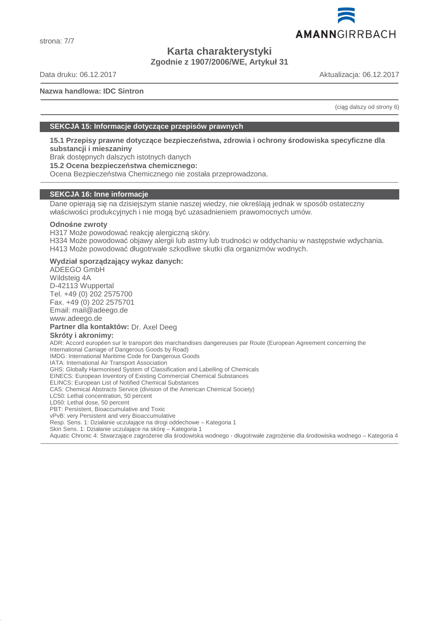

# **Karta charakterystyki Zgodnie z 1907/2006/WE, Artykuł 31**

Data druku: 06.12.2017 Aktualizacja: 06.12.2017

#### **Nazwa handlowa: IDC Sintron**

(ciąg dalszy od strony 6)

#### **SEKCJA 15: Informacje dotyczące przepisów prawnych**

**15.1 Przepisy prawne dotyczące bezpieczeństwa, zdrowia i ochrony środowiska specyficzne dla substancji i mieszaniny**

Brak dostępnych dalszych istotnych danych

**15.2 Ocena bezpieczeństwa chemicznego:**

Ocena Bezpieczeństwa Chemicznego nie została przeprowadzona.

#### **SEKCJA 16: Inne informacje**

Dane opierają się na dzisiejszym stanie naszej wiedzy, nie określają jednak w sposób ostateczny właściwości produkcyjnych i nie mogą być uzasadnieniem prawomocnych umów.

#### **Odnośne zwroty**

H317 Może powodować reakcję alergiczną skóry.

H334 Może powodować objawy alergii lub astmy lub trudności w oddychaniu w następstwie wdychania. H413 Może powodować długotrwałe szkodliwe skutki dla organizmów wodnych.

#### **Wydział sporządzający wykaz danych:**

ADEEGO GmbH Wildsteig 4A D-42113 Wuppertal Tel. +49 (0) 202 2575700 Fax. +49 (0) 202 2575701 Email: mail@adeego.de www.adeego.de **Partner dla kontaktów:** Dr. Axel Deeg **Skróty i akronimy:** ADR: Accord européen sur le transport des marchandises dangereuses par Route (European Agreement concerning the International Carriage of Dangerous Goods by Road) IMDG: International Maritime Code for Dangerous Goods IATA: International Air Transport Association GHS: Globally Harmonised System of Classification and Labelling of Chemicals EINECS: European Inventory of Existing Commercial Chemical Substances ELINCS: European List of Notified Chemical Substances CAS: Chemical Abstracts Service (division of the American Chemical Society) LC50: Lethal concentration, 50 percent LD50: Lethal dose, 50 percent PBT: Persistent, Bioaccumulative and Toxic vPvB: very Persistent and very Bioaccumulative Resp. Sens. 1: Działanie uczulające na drogi oddechowe – Kategoria 1 Skin Sens. 1: Działanie uczulające na skórę – Kategoria 1 Aquatic Chronic 4: Stwarzające zagrożenie dla środowiska wodnego - długotrwałe zagrożenie dla środowiska wodnego – Kategoria 4

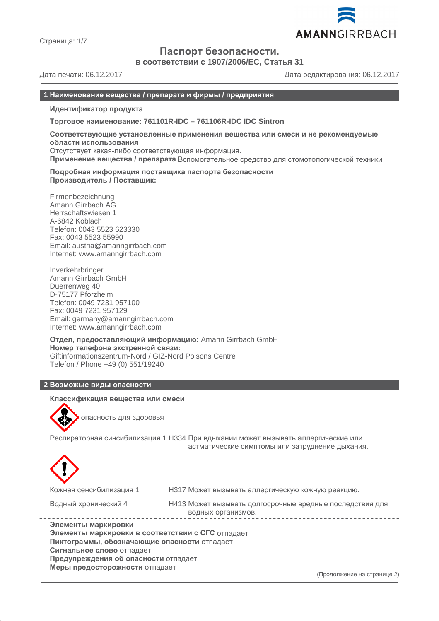

Страница: 1/7

# **Паспорт безопасности.**

**в соответствии с 1907/2006/EC, Статья 31**

Дата печати: 06.12.2017 Дата редактирования: 06.12.2017

#### **1 Наименование вещества / препарата и фирмы / предприятия**

**Идентификатор продукта**

**Торговое наименование: 761101R-IDC – 761106R-IDC IDC Sintron**

**Соответствующие установленные применения вещества или смеси и не рекомендуемые области использования** Отсутствует какая-либо соответствующая информация.

**Применение вещества / препарата** Вспомогательное средство для стомотологической техники

**Подробная информация поставщика паспорта безопасности Производитель / Поставщик:**

Firmenbezeichnung Amann Girrbach AG Herrschaftswiesen 1 A-6842 Koblach Telefon: 0043 5523 623330 Fax: 0043 5523 55990 Email: austria@amanngirrbach.com Internet: www.amanngirrbach.com

Inverkehrbringer Amann Girrbach GmbH Duerrenweg 40 D-75177 Pforzheim Telefon: 0049 7231 957100 Fax: 0049 7231 957129 Email: germany@amanngirrbach.com Internet: www.amanngirrbach.com

**Отдел, предоставляющий информацию:** Amann Girrbach GmbH **Номер телефона экстренной связи:** Giftinformationszentrum-Nord / GIZ-Nord Poisons Centre Telefon / Phone +49 (0) 551/19240

#### **2 Возможые виды опасности**

**Классификация вещества или смеси**



опасность для здоровья

Респираторная синсибилизация 1 H334 При вдыхании может вызывать аллергические или астматические симптомы или затруднение дыхания.



| Кожная сенсибилизация 1 | НЗ17 Может вызывать аллергическую кожную реакцию.        |
|-------------------------|----------------------------------------------------------|
| Водный хронический 4    | Н413 Может вызывать долгосрочные вредные последствия для |
|                         | водных организмов.                                       |
|                         |                                                          |

**Элементы маркировки Элементы маркировки в соответствии с СГС** отпадает **Пиктограммы, обозначающие опасности** отпадает **Сигнальное слово** отпадает **Предупреждения об опасности** отпадает **Меры предосторожности** отпадает

(Продолжение на странице 2)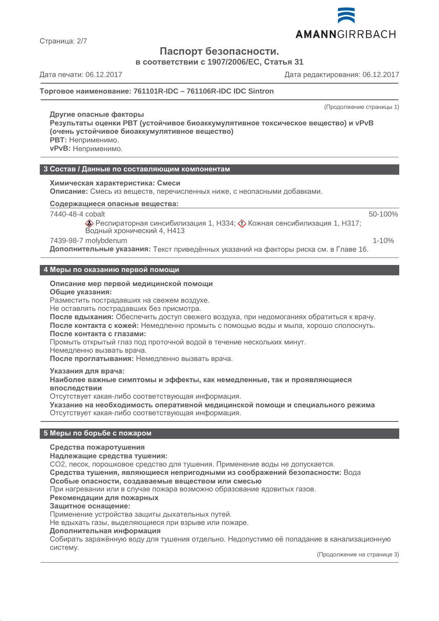

**Паспорт безопасности.**

**в соответствии с 1907/2006/EC, Статья 31**

Страница: 2/7

Дата печати: 06.12.2017 Дата редактирования: 06.12.2017

#### **Торговое наименование: 761101R-IDC – 761106R-IDC IDC Sintron**

#### **Другие опасные факторы**

(Продолжение страницы 1)

50-100%

**Результаты оценки PBT (устойчивое биоаккумулятивное токсическое вещество) и vPvB (очень устойчивое биоаккумулятивное вещество) PBT:** Неприменимо.

**vPvB:** Неприменимо.

**3 Состав / Данные по составляющим компонентам**

#### **Химическая характеристика: Смеси**

**Описание:** Смесь из веществ, перечисленных ниже, с неопасными добавками.

**Содержащиеся опасные вещества :** 

7440-48-4 cobalt

 $\diamondsuit$  Респираторная синсибилизация 1, H334;  $\diamondsuit$  Кожная сенсибилизация 1, H317; Водный хронический 4, H413

#### 7439-98-7 molybdenum 1-10%

**Дополнительные указания:** Текст приведённых указаний на факторы риска см. в Главе 16.

#### **4 Меры по оказанию первой помощи**

#### **Описание мер первой медицинской помощи**

**Общие указания:**

Разместить пострадавших на свежем воздухе.

Не оставлять пострадавших без присмотра.

**После вдыхания:** Обеспечить доступ свежего воздуха, при недомоганиях обратиться к врачу. **После контакта с кожей:** Немедленно промыть с помощью воды и мыла, хорошо сполоснуть.

**После контакта с глазами:**

Промыть открытый глаз под проточной водой в течение нескольких минут.

Немедленно вызвать врача.

**После проглатывания:** Немедленно вызвать врача.

**Указания для врача:**

**Наиболее важные симптомы и эффекты, как немедленные, так и проявляющиеся впоследствии**

Отсутствует какая-либо соответствующая информация.

**Указание на необходимость оперативной медицинской помощи и специального режима** Отсутствует какая-либо соответствующая информация.

#### **5 Меры по борьбе с пожаром**

#### **Средства пожаротушения**

**Надлежащие средства тушения:**

CO2, песок, порошковое средство для тушения. Применение воды не допускается.

**Средства тушения, являющиеся непригодными из соображений безопасности:** Вода

**Особые опасности, создаваемые веществом или смесью**

При нагревании или в случае пожара возможно образование ядовитых газов.

#### **Рекомендации для пожарных**

**Защитное оснащение:**

Применение устройства защиты дыхательных путей.

Не вдыхать газы, выделяющиеся при взрыве или пожаре.

#### **Дополнительная информация**

Собирать заражённую воду для тушения отдельно. Недопустимо её попадание в канализационную систему.

(Продолжение на странице 3)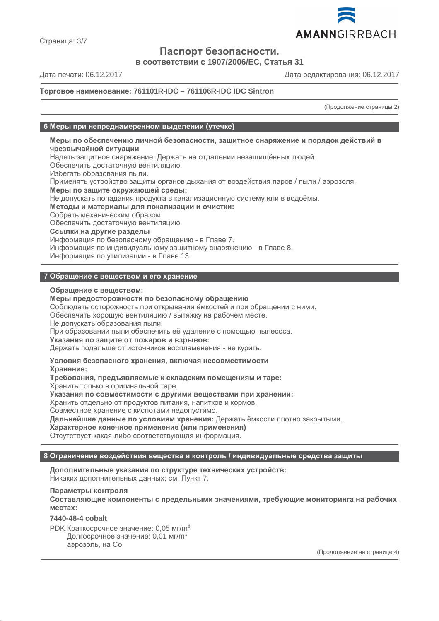

Страница: 3/7

# **Паспорт безопасности.**

**в соответствии с 1907/2006/EC, Статья 31**

Дата печати: 06.12.2017 Дата редактирования: 06.12.2017

#### **Торговое наименование: 761101R-IDC – 761106R-IDC IDC Sintron**

(Продолжение страницы 2)

#### **6 Меры при непреднамеренном выделении (утечке)**

**Меры по обеспечению личной безопасности, защитное снаряжение и порядок действий в чрезвычайной ситуации** Надеть защитное снаряжение. Держать на отдалении незащищённых людей. Обеспечить достаточную вентиляцию. Избегать образования пыли. Применять устройство защиты органов дыхания от воздействия паров / пыли / аэрозоля. **Меры по защите окружающей среды:** Не допускать попадания продукта в канализационную систему или в водоёмы. **Методы и материалы для локализации и очистки:** Собрать механическим образом. Обеспечить достаточную вентиляцию. **Ссылки на другие разделы** Информация по безопасному обращению - в Главе 7. Информация по индивидуальному защитному снаряжению - в Главе 8. Информация по утилизации - в Главе 13.

## **7 Обращение с веществом и его хранение**

#### **Обращение с веществом:**

#### **Меры предосторожности по безопасному обращению**

Соблюдать осторожность при открывании ёмкостей и при обращении с ними.

Обеспечить хорошую вентиляцию / вытяжку на рабочем месте.

Не допускать образования пыли.

При образовании пыли обеспечить её удаление с помощью пылесоса.

**Указания по защите от пожаров и взрывов:**

Держать подальше от источников воспламенения - не курить.

#### **Условия безопасного хранения, включая несовместимости**

**Хранение:**

**Требования, предъявляемые к складским помещениям и таре:**

Хранить только в оригинальной таре.

**Указания по совместимости с другими веществами при хранении:**

Хранить отдельно от продуктов питания, напитков и кормов.

Совместное хранение с кислотами недопустимо.

**Дальнейшие данные по условиям хранения:** Держать ёмкости плотно закрытыми.

**Характерное конечное применение (или применения)**

Отсутствует какая-либо соответствующая информация.

#### **8 Ограничение воздействия вещества и контроль / индивидуальные средства защиты**

**Дополнительные указания по структуре технических устройств:** Никаких дополнительных данных; см. Пункт 7.

**Параметры контроля**

**Составляющие компоненты с предельными значениями, требующие мониторинга на рабочих местах:**

#### **7440-48-4 cobalt**

PDK Краткосрочное значение: 0,05 мг/m<sup>3</sup> Долгосрочное значение: 0,01 мг/m<sup>3</sup> аэрозоль, на Co

(Продолжение на странице 4)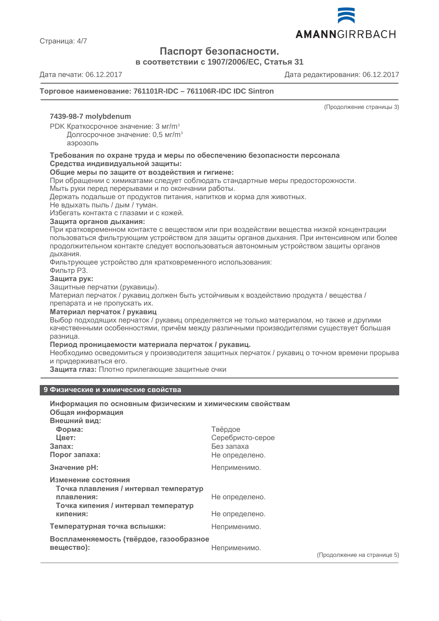

**Паспорт безопасности.**

**в соответствии с 1907/2006/EC, Статья 31**

Страница: 4/7

Дата печати: 06.12.2017 Дата редактирования: 06.12.2017

#### **Торговое наименование: 761101R-IDC – 761106R-IDC IDC Sintron**

(Продолжение страницы 3)

#### **7439-98-7 molybdenum**

PDK Краткосрочное значение: 3 мг/m<sup>3</sup>

Долгосрочное значение: 0,5 мг/m<sup>3</sup>

аэрозоль

#### **Требования по охране труда и меры по обеспечению безопасности персонала Средства индивидуальной защиты:**

#### **Общие меры по защите от воздействия и гигиене:**

При обращении с химикатами следует соблюдать стандартные меры предосторожности.

Мыть руки перед перерывами и по окончании работы.

Держать подальше от продуктов питания, напитков и корма для животных.

Не вдыхать пыль / дым / туман.

Избегать контакта с глазами и с кожей.

#### **Защита органов дыхания:**

При кратковременном контакте с веществом или при воздействии вещества низкой концентрации пользоваться фильтрующим устройством для защиты органов дыхания. При интенсивном или более продолжительном контакте следует воспользоваться автономным устройством защиты органов дыхания.

Фильтрующее устройство для кратковременного использования:

## Фильтр P3.

**Защита рук:**

Защитные перчатки (рукавицы).

Материал перчаток / рукавиц должен быть устойчивым к воздействию продукта / вещества / препарата и не пропускать их.

#### **Материал перчаток / рукавиц**

Выбор подходящих перчаток / рукавиц определяется не только материалом, но также и другими качественными особенностями, причём между различными производителями существует большая разница.

#### **Период проницаемости материала перчаток / рукавиц.**

Необходимо осведомиться у производителя защитных перчаток / рукавиц о точном времени прорыва и придерживаться его.

**Защита глаз:** Плотно прилегающие защитные очки

#### **9 Физические и химические свойства**

| Информация по основным физическим и химическим свойствам     |                  |                             |
|--------------------------------------------------------------|------------------|-----------------------------|
| Общая информация                                             |                  |                             |
| Внешний вид:                                                 |                  |                             |
| Форма:                                                       | Твёрдое          |                             |
| Цвет:                                                        | Серебристо-серое |                             |
| 3a <sub>max</sub>                                            | Без запаха       |                             |
| Порог запаха:                                                | Не определено.   |                             |
| Значение рН:                                                 | Неприменимо.     |                             |
| Изменение состояния<br>Точка плавления / интервал температур |                  |                             |
| плавления:<br>Точка кипения / интервал температур            | Не определено.   |                             |
| кипения:                                                     | Не определено.   |                             |
| Температурная точка вспышки:                                 | Неприменимо.     |                             |
| Воспламеняемость (твёрдое, газообразное<br>вещество):        | Неприменимо.     |                             |
|                                                              |                  | (Продолжение на странице 5) |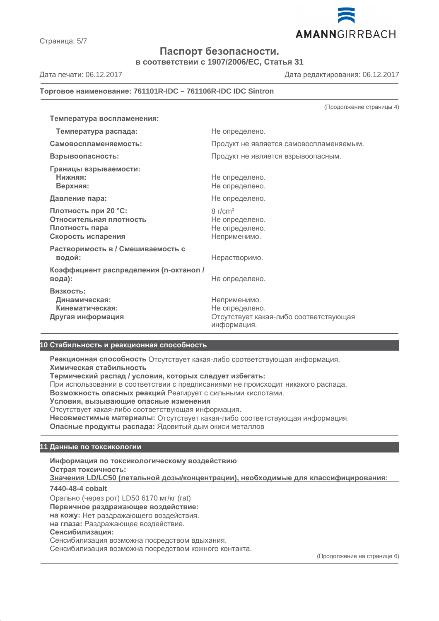AMANNGIRRBACH

**Паспорт безопасности.**

**в соответствии с 1907/2006/EC, Статья 31**

Дата печати: 06.12.2017 Дата редактирования: 06.12.2017

#### **Торговое наименование: 761101R-IDC – 761106R-IDC IDC Sintron**

| Температура воспламенения:                                                              |                                                                                         |
|-----------------------------------------------------------------------------------------|-----------------------------------------------------------------------------------------|
| Температура распада:                                                                    | Не определено.                                                                          |
| Самовоспламеняемость:                                                                   | Продукт не является самовоспламеняемым.                                                 |
| Взрывоопасность:                                                                        | Продукт не является взрывоопасным.                                                      |
| Границы взрываемости:<br>Нижняя:<br>Верхняя:                                            | Не определено.<br>Не определено.                                                        |
| Давление пара:                                                                          | Не определено.                                                                          |
| Плотность при 20 °С:<br>Относительная плотность<br>Плотность пара<br>Скорость испарения | $8 \frac{r}{cm^3}$<br>Не определено.<br>Не определено.<br>Неприменимо.                  |
| Растворимость в / Смешиваемость с<br>водой:                                             | Нерастворимо.                                                                           |
| Коэффициент распределения (n-октанол /<br>вода):                                        | Не определено.                                                                          |
| Вязкость:<br>Динамическая:<br>Кинематическая:<br>Другая информация                      | Неприменимо.<br>Не определено.<br>Отсутствует какая-либо соответствующая<br>информация. |

#### **10 Стабильность и реакционная способность**

**Реакционная способность** Отсутствует какая-либо соответствующая информация. **Химическая стабильность**

**Термический распад / условия, которых следует избегать:**

При использовании в соответствии с предписаниями не происходит никакого распада.

**Возможность опасных реакций** Реагирует с сильными кислотами.

**Условия, вызывающие опасные изменения**

Отсутствует какая-либо соответствующая информация.

**Несовместимые материалы:** Отсутствует какая-либо соответствующая информация.

**Опасные продукты распада:** Ядовитый дым окиси металлов

#### **11 Данные по токсикологии**

**Информация по токсикологическому воздействию Острая токсичность: Значения LD/LC50 (летальной дозы/концентрации), необходимые для классифицирования : 7440-48-4 cobalt** Орально (через рот) LD50 6170 мг/кг (rat) **Первичное раздражающее воздействие: на кожу:** Нет раздражающего воздействия. **на глаза:** Раздражающее воздействие. **Сенсибилизация:** Сенсибилизация возможна посредством вдыхания. Сенсибилизация возможна посредством кожного контакта.

(Продолжение на странице 6)

Страница: 5/7

(Продолжение страницы 4)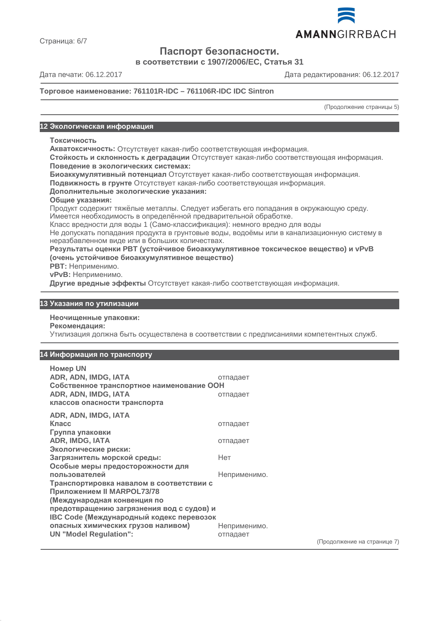

Страница: 6/7

**Паспорт безопасности.**

**в соответствии с 1907/2006/EC, Статья 31**

Дата печати: 06.12.2017 Дата редактирования: 06.12.2017

#### **Торговое наименование: 761101R-IDC – 761106R-IDC IDC Sintron**

(Продолжение страницы 5)

#### **12 Экологическая информация**

#### **Токсичность**

**Акватоксичность:** Отсутствует какая-либо соответствующая информация.

**Стойкость и склонность к деградации** Отсутствует какая-либо соответствующая информация. **Поведение в экологических системах:**

**Биоаккумулятивный потенциал** Отсутствует какая-либо соответствующая информация.

**Подвижность в грунте** Отсутствует какая-либо соответствующая информация.

#### **Дополнительные экологические указания:**

**Общие указания:**

Продукт содержит тяжёлые металлы. Следует избегать его попадания в окружающую среду. Имеется необходимость в определённой предварительной обработке.

Класс вредности для воды 1 (Само-классификация): немного вредно для воды

Не допускать попадания продукта в грунтовые воды, водоёмы или в канализационную систему в неразбавленном виде или в больших количествах.

#### **Результаты оценки PBT (устойчивое биоаккумулятивное токсическое вещество) и vPvB (очень устойчивое биоаккумулятивное вещество)**

**PBT:** Неприменимо.

**vPvB:** Неприменимо.

**Другие вредные эффекты** Отсутствует какая-либо соответствующая информация.

#### **13 Указания по утилизации**

#### **Неочищенные упаковки:**

**Рекомендация:**

Утилизация должна быть осуществлена в соответствии с предписаниями компетентных служб.

#### **14 Информация по транспорту**

| <b>Номер UN</b><br>ADR, ADN, IMDG, IATA<br>Собственное транспортное наименование ООН<br>ADR, ADN, IMDG, IATA<br>классов опасности транспорта | отпадает<br>отпадает     |
|----------------------------------------------------------------------------------------------------------------------------------------------|--------------------------|
| ADR, ADN, IMDG, IATA<br>Класс<br>Группа упаковки                                                                                             | отпадает                 |
| ADR, IMDG, IATA<br>Экологические риски:                                                                                                      | отпадает                 |
| Загрязнитель морской среды:                                                                                                                  | Нет                      |
| Особые меры предосторожности для<br>пользователей                                                                                            | Неприменимо.             |
| Транспортировка навалом в соответствии с<br>Приложением II MARPOL73/78                                                                       |                          |
| (Международная конвенция по<br>предотвращению загрязнения вод с судов) и                                                                     |                          |
| IBC Code (Международный кодекс перевозок                                                                                                     |                          |
| опасных химических грузов наливом)<br><b>UN "Model Regulation":</b>                                                                          | Неприменимо.<br>отпадает |

(Продолжение на странице 7)